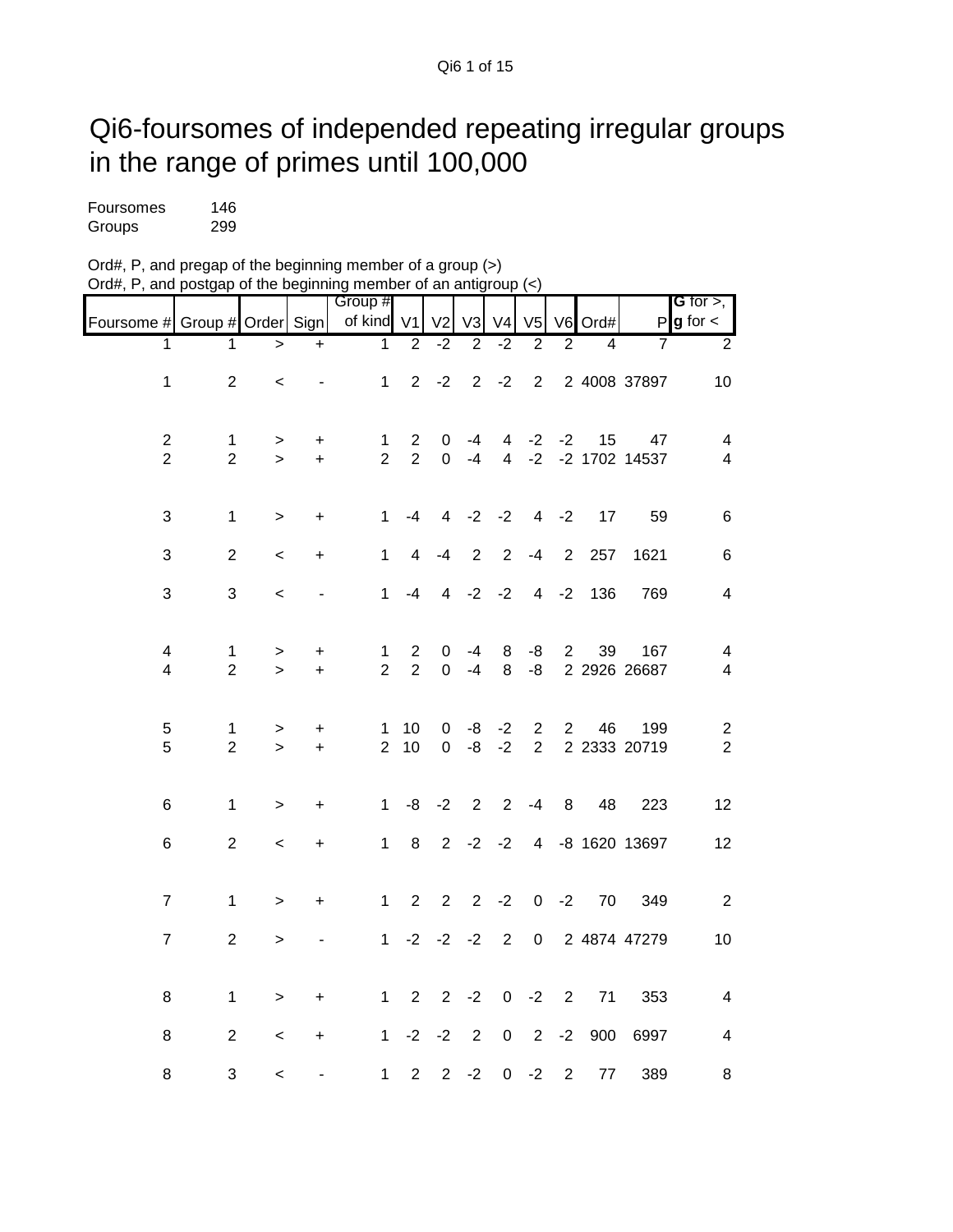## Qi6-foursomes of independed repeating irregular groups in the range of primes until 100,000

| Foursomes | 146 |
|-----------|-----|
| Groups    | 299 |

| Ord#, P, and pregap of the beginning member of a group (>)                                         |  |
|----------------------------------------------------------------------------------------------------|--|
| Ord#, P, and postgap of the beginning member of an antigroup $\left\langle \epsilon \right\rangle$ |  |

|                                  |                                |                     |                | Group #                        |                                  |                  |                |                     |                |                |                |                     | <b>G</b> for $>$ , $\blacksquare$ |
|----------------------------------|--------------------------------|---------------------|----------------|--------------------------------|----------------------------------|------------------|----------------|---------------------|----------------|----------------|----------------|---------------------|-----------------------------------|
| Foursome # Group # Order Sign    |                                |                     |                | of kind                        | V <sub>1</sub>                   | V <sub>2</sub>   | V <sub>3</sub> | V <sub>4</sub>      | V <sub>5</sub> |                | V6 Ord#        |                     | $P g$ for $\lt$                   |
| 1                                | 1                              | $\geq$              | $+$            | $\overline{1}$                 | $\overline{2}$                   | $-2$             | $\overline{2}$ | $-2$                | $\overline{2}$ | $\overline{2}$ | $\overline{4}$ | 7                   | $\overline{2}$                    |
| $\mathbf{1}$                     | $\overline{2}$                 | $\prec$             | $\blacksquare$ | $\mathbf{1}$                   |                                  | $2 -2 2 -2$      |                |                     | $\overline{2}$ |                |                | 2 4008 37897        | 10                                |
|                                  |                                |                     |                |                                |                                  |                  |                |                     |                |                |                |                     |                                   |
| $\overline{c}$<br>$\overline{2}$ | $\mathbf{1}$<br>$\overline{2}$ | $\, > \,$<br>$\geq$ | +<br>$\ddot{}$ | $\mathbf{1}$<br>$\overline{2}$ | $\overline{2}$<br>$\overline{2}$ | 0<br>$\mathbf 0$ | $-4$<br>$-4$   | 4<br>$\overline{4}$ | $-2$<br>$-2$   | $-2$           | 15             | 47<br>-2 1702 14537 | 4<br>$\overline{4}$               |
|                                  |                                |                     |                |                                |                                  |                  |                |                     |                |                |                |                     |                                   |
| $\sqrt{3}$                       | $\mathbf{1}$                   | $\geq$              | $\ddot{}$      | $\mathbf{1}$                   | $-4$                             | $\overline{4}$   | $-2$           | $-2$                | $\overline{4}$ | $-2$           | 17             | 59                  | 6                                 |
| 3                                | $\overline{2}$                 | $\,<\,$             | $\ddot{}$      | $\mathbf{1}$                   | 4                                | $-4$             | 2              | $\overline{2}$      | $-4$           | 2              | 257            | 1621                | $\,6$                             |
| 3                                | 3                              | $\prec$             | $\blacksquare$ | $\mathbf 1$                    | -4                               |                  |                | $4 -2 -2$           | $\overline{4}$ | $-2$           | 136            | 769                 | $\overline{\mathbf{4}}$           |
| 4                                | $\mathbf{1}$                   |                     |                |                                | $\overline{2}$                   |                  |                | 8                   | -8             | $\overline{2}$ | 39             | 167                 |                                   |
| $\overline{\mathbf{4}}$          | $\overline{2}$                 | ><br>$\mathbf{I}$   | +<br>$\ddot{}$ | $\mathbf{1}$<br>$\overline{2}$ | $\overline{2}$                   | 0<br>0           | -4<br>$-4$     | 8                   | -8             |                |                | 2 2926 26687        | 4<br>4                            |
|                                  |                                |                     |                |                                |                                  |                  |                |                     |                |                |                |                     |                                   |
| 5                                | $\mathbf{1}$                   | >                   | $\ddot{}$      | 1                              | 10 <sup>°</sup>                  | 0                | -8             | $-2$                | $\overline{2}$ | $\overline{2}$ | 46             | 199                 | $\overline{\mathbf{c}}$           |
| 5                                | $\overline{2}$                 | $\geq$              | $+$            | $\overline{2}$                 | 10                               | $\Omega$         | $-8$           | $-2$                | 2              |                |                | 2 2333 20719        | $\overline{2}$                    |
| 6                                | $\mathbf{1}$                   | $\, > \,$           | $\ddot{}$      | $\mathbf 1$                    |                                  | $-8$ $-2$ 2      |                | $2^{\circ}$         | -4             | 8              | 48             | 223                 | 12                                |
| 6                                | $\overline{2}$                 | $\,<\,$             | +              | $\mathbf 1$                    | 8                                |                  |                | $2 -2 -2$           |                |                |                | 4 -8 1620 13697     | 12                                |
|                                  |                                |                     |                |                                |                                  |                  |                |                     |                |                |                |                     |                                   |
| $\overline{7}$                   | $\mathbf{1}$                   | $\geq$              | $\pmb{+}$      | $\mathbf{1}$                   | $\overline{2}$                   | $\overline{2}$   | $2^{\circ}$    | $-2$                | $\mathbf 0$    | $-2$           | 70             | 349                 | $\overline{2}$                    |
| $\overline{7}$                   | $\overline{2}$                 | $\mathbf{L}$        |                | $\mathbf{1}$                   | $-2$                             | $-2$ $-2$        |                | 2                   | $\mathbf 0$    |                |                | 2 4874 47279        | 10                                |
|                                  |                                |                     |                |                                |                                  |                  |                |                     |                |                |                |                     |                                   |
| 8                                | $\mathbf{1}$                   | $\, > \,$           | +              | $\mathbf{1}$                   | 2                                |                  | $2 -2$         | $\mathbf 0$         | $-2$           | $\overline{2}$ | 71             | 353                 | $\overline{\mathbf{4}}$           |
| 8                                | $\overline{2}$                 | $\,<\,$             | +              | $\mathbf{1}$                   | $-2$                             | $-2$             | $\overline{2}$ | $\boldsymbol{0}$    | $\overline{2}$ | $-2$           | 900            | 6997                | 4                                 |
| 8                                | $\ensuremath{\mathsf{3}}$      | $\,<\,$             |                | $\mathbf 1$                    | $\overline{2}$                   | $\overline{2}$   | $-2$           | $\pmb{0}$           | $-2$           | $\overline{2}$ | 77             | 389                 | 8                                 |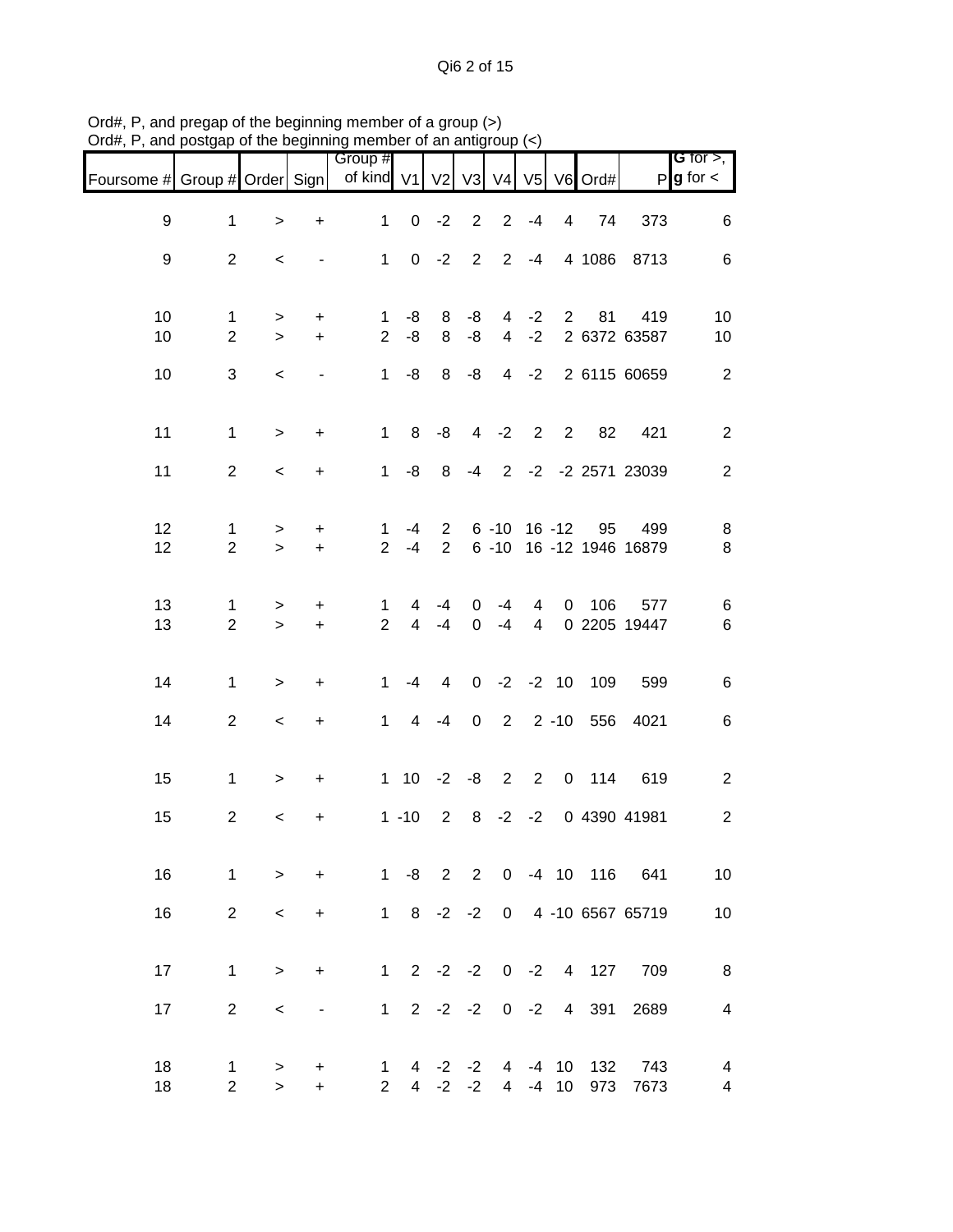Qi6 2 of 15

| Group #<br>$P$ <b>g</b> for $\lt$<br>of kind V1 V2 V3 V4<br>Foursome # Group # Order Sign<br>V5 V6 Ord#<br>$\boldsymbol{9}$<br>$0 -2 2$<br>$2 - 4$<br>$\mathbf{1}$<br>$1 -$<br>4 74<br>373<br>$\ddot{}$<br>$\geq$<br>1 0 -2 2 2 -4 4 1086 8713<br>9<br>$\overline{2}$<br>$\blacksquare$<br>$\lt$<br>10<br>81<br>$8 - 8$<br>$4 -2 2$<br>419<br>$1 - 8$<br>$\mathbf 1$<br>$+$<br>$\,>$<br>$\overline{2}$<br>$8 - 8$<br>$4 -2$<br>2 6372 63587<br>10<br>$\overline{2}$<br>-8<br>$+$<br>$\geq$<br>10<br>3<br>$1 - 8$ $8 - 8$<br>4 -2 2 6115 60659<br>$\,<$<br>$\blacksquare$<br>11<br>1 8 -8 4 -2 2 2 82 421<br>$\mathbf{1}$<br>$+$<br>$\geq$<br>11<br>$\overline{2}$<br>1 -8 8 -4 2 -2 -2 2571 23039<br>$\overline{\phantom{0}}$<br>$+$ |                |
|--------------------------------------------------------------------------------------------------------------------------------------------------------------------------------------------------------------------------------------------------------------------------------------------------------------------------------------------------------------------------------------------------------------------------------------------------------------------------------------------------------------------------------------------------------------------------------------------------------------------------------------------------------------------------------------------------------------------------------------|----------------|
|                                                                                                                                                                                                                                                                                                                                                                                                                                                                                                                                                                                                                                                                                                                                      |                |
|                                                                                                                                                                                                                                                                                                                                                                                                                                                                                                                                                                                                                                                                                                                                      | 6              |
|                                                                                                                                                                                                                                                                                                                                                                                                                                                                                                                                                                                                                                                                                                                                      | $\,6$          |
|                                                                                                                                                                                                                                                                                                                                                                                                                                                                                                                                                                                                                                                                                                                                      | 10             |
|                                                                                                                                                                                                                                                                                                                                                                                                                                                                                                                                                                                                                                                                                                                                      | 10             |
|                                                                                                                                                                                                                                                                                                                                                                                                                                                                                                                                                                                                                                                                                                                                      | 2              |
|                                                                                                                                                                                                                                                                                                                                                                                                                                                                                                                                                                                                                                                                                                                                      | $\overline{2}$ |
|                                                                                                                                                                                                                                                                                                                                                                                                                                                                                                                                                                                                                                                                                                                                      | $\overline{2}$ |
| 12<br>2 6 -10 16 -12 95<br>499<br>-4<br>$\mathbf 1$<br>$\mathbf 1$<br>$\ddot{}$<br>>                                                                                                                                                                                                                                                                                                                                                                                                                                                                                                                                                                                                                                                 | 8              |
| 12<br>$\overline{2}$<br>$2^{\circ}$<br>2 6 -10 16 -12 1946 16879<br>$+$<br>$-4$<br>$\geq$                                                                                                                                                                                                                                                                                                                                                                                                                                                                                                                                                                                                                                            | 8              |
| 13<br>4 0 106<br>577<br>$\overline{0}$<br>$-4$<br>$\overline{4}$<br>$-4$<br>1<br>1<br>$\ddot{}$<br>$\,>$<br>$2^{\circ}$<br>13<br>$\overline{2}$<br>4 0 2205 19447<br>$4 - 4$<br>$\overline{0}$<br>$-4$<br>$+$<br>$\geq$                                                                                                                                                                                                                                                                                                                                                                                                                                                                                                              | 6<br>$\,6$     |
|                                                                                                                                                                                                                                                                                                                                                                                                                                                                                                                                                                                                                                                                                                                                      |                |
| -4 4 0 -2 -2 10 109<br>14<br>$\mathbf{1}$<br>$1 \quad$<br>599<br>$\ddot{}$<br>$\geq$                                                                                                                                                                                                                                                                                                                                                                                                                                                                                                                                                                                                                                                 | $\,6$          |
| 14<br>$\overline{2}$<br>1 4 -4 0 2 2 -10 556 4021<br>$+$<br>$\,<$                                                                                                                                                                                                                                                                                                                                                                                                                                                                                                                                                                                                                                                                    | $\,6$          |
| 15<br>1 10 -2 -8 2 2 0 114 619<br>$\mathbf{1}$<br>$+$<br>$\,>$                                                                                                                                                                                                                                                                                                                                                                                                                                                                                                                                                                                                                                                                       | $\overline{c}$ |
| 1 -10 2 8 -2 -2 0 4390 41981<br>15<br>$\overline{2}$<br>$\ddot{}$<br>$\,<\,$                                                                                                                                                                                                                                                                                                                                                                                                                                                                                                                                                                                                                                                         | $\overline{2}$ |
| 16<br>$1 - 8$ 2 2<br>0 -4 10 116 641<br>$\mathbf{1}$<br>$\ddot{}$<br>$\geq$                                                                                                                                                                                                                                                                                                                                                                                                                                                                                                                                                                                                                                                          | 10             |
| $1 \t 8 \t -2 \t -2$<br>0 4 -10 6567 65719<br>16<br>$\overline{2}$<br>$\ddot{}$<br>$\,<\,$                                                                                                                                                                                                                                                                                                                                                                                                                                                                                                                                                                                                                                           | 10             |
|                                                                                                                                                                                                                                                                                                                                                                                                                                                                                                                                                                                                                                                                                                                                      |                |
| $0 -2 4 127$<br>17<br>$2 -2 -2$<br>709<br>$\mathbf{1}$<br>$1 \quad$<br>$\ddot{}$<br>$\geq$                                                                                                                                                                                                                                                                                                                                                                                                                                                                                                                                                                                                                                           | 8              |
| 17<br>$\overline{2}$<br>1<br>$2 -2 -2$<br>$0 -2$<br>4 391<br>2689<br>$\,<\,$<br>$\overline{\phantom{a}}$                                                                                                                                                                                                                                                                                                                                                                                                                                                                                                                                                                                                                             | 4              |
| 18<br>$-4$ 10<br>132<br>743<br>$\mathbf 1$<br>$4 -2 -2$<br>$\overline{4}$<br>1<br>+<br>><br>$2^{\circ}$<br>$4 -2$<br>$-2$<br>7673<br>18<br>$\overline{2}$<br>$\overline{4}$<br>$-4$ 10<br>973<br>$\ddot{}$<br>$\geq$                                                                                                                                                                                                                                                                                                                                                                                                                                                                                                                 | 4<br>4         |

Ord#, P, and pregap of the beginning member of a group (>) Ord#, P, and postgap of the beginning member of an antigroup (<)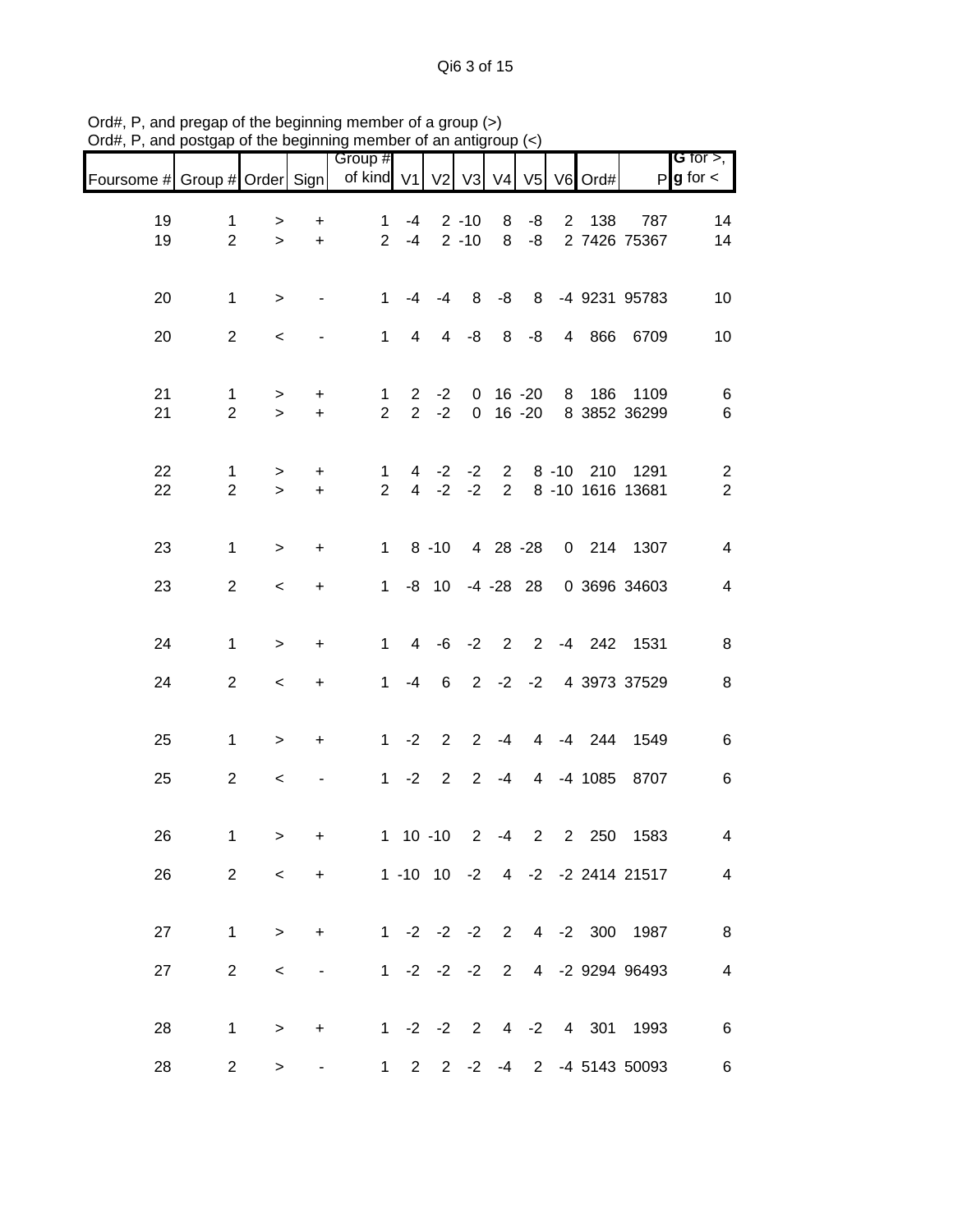Qi6 3 of 15

|                               |                                |                  |                                  | Group #                        |             |                  |                      |                |                |             |           |                                | G for $>$ ,                      |
|-------------------------------|--------------------------------|------------------|----------------------------------|--------------------------------|-------------|------------------|----------------------|----------------|----------------|-------------|-----------|--------------------------------|----------------------------------|
| Foursome # Group # Order Sign |                                |                  |                                  | of kind V1 V2 V3               |             |                  |                      |                | V4 V5          |             | V6 Ord#   |                                | $P$ <b>g</b> for $\lt$           |
| 19<br>19                      | $\mathbf 1$<br>$\overline{2}$  | ><br>$\geq$      | $\ddot{}$<br>$\ddot{}$           | $\mathbf{1}$<br>$\overline{2}$ | -4<br>$-4$  |                  | $2 - 10$<br>$2 - 10$ | 8<br>8         | -8<br>-8       | $2^{\circ}$ | 138       | 787<br>2 7426 75367            | 14<br>14                         |
| 20                            | $\mathbf{1}$                   | $\,>$            |                                  | $\mathbf{1}$                   | $-4$        | $-4$             | 8                    | -8             | 8              |             |           | -4 9231 95783                  | 10                               |
| 20                            | $\overline{2}$                 | $\,<\,$          |                                  | $\mathbf{1}$                   | 4           | $\overline{4}$   | -8                   | 8              | -8             |             | 4 866     | 6709                           | 10                               |
| 21<br>21                      | 1<br>$\overline{2}$            | ><br>$\geq$      | +<br>$\pm$                       | $\mathbf 1$<br>$\overline{2}$  | $2^{\circ}$ | $-2$<br>$2 -2$   | $\overline{0}$       | $0 16 - 20$    | $16 - 20$      | 8           | 186       | 1109<br>8 3852 36299           | 6<br>6                           |
| 22<br>22                      | $\mathbf{1}$<br>$\overline{2}$ | $\geq$<br>$\geq$ | $\ddot{}$<br>$\ddot{}$           | $\mathbf{1}$<br>$\overline{2}$ |             | $4 -2$<br>$4 -2$ | $-2$<br>$-2$         | $2^{\circ}$    |                | $8 - 10$    |           | 210 1291<br>2 8 -10 1616 13681 | $\overline{c}$<br>$\overline{2}$ |
| 23                            | $\mathbf{1}$                   | $\geq$           | $\ddot{}$                        | $\mathbf{1}$                   |             | $8 - 10$         |                      | 4 28 -28       |                |             |           | 0 214 1307                     | $\overline{4}$                   |
| 23                            | $\overline{2}$                 | $\,<\,$          | $\ddot{}$                        | $\mathbf{1}$                   |             |                  | -8 10 -4 -28 28      |                |                |             |           | 0 3696 34603                   | $\overline{4}$                   |
| 24                            | $\mathbf{1}$                   | $\, > \,$        | $\ddot{}$                        | $\mathbf{1}$                   |             | $4 - 6 - 2$      |                      | $\overline{2}$ | $\overline{2}$ |             | $-4$ 242  | 1531                           | 8                                |
| 24                            | $\overline{c}$                 | $\,<\,$          | +                                | $\mathbf{1}$                   | -4          | 6                |                      |                |                |             |           | 2 -2 -2 4 3973 37529           | 8                                |
| 25                            | $\mathbf 1$                    | $\geq$           | $\begin{array}{c} + \end{array}$ | $\mathbf{1}$                   | $-2$        | $\overline{2}$   | $2^{\circ}$          | $-4$           |                |             | 4 -4 244  | 1549                           | 6                                |
| 25                            | $\overline{c}$                 | $\,<$            |                                  | $\mathbf{1}$                   | $-2$        | $\overline{2}$   | $\overline{2}$       | $-4$           |                |             | 4 -4 1085 | 8707                           | 6                                |
| 26                            | $\mathbf 1$                    | $\, > \,$        | $\ddot{}$                        |                                |             | $1 \t10 \t-10$   | $\mathbf{2}$         | $-4$           | $\overline{2}$ | $2^{\circ}$ | 250       | 1583                           | 4                                |
| 26                            | $\overline{2}$                 | $\prec$          | $+$                              | 1 -10 10 -2 4 -2 -2 2414 21517 |             |                  |                      |                |                |             |           |                                | 4                                |
| 27                            | $\mathbf{1}$                   | $\geq$           | $\ddot{}$                        |                                |             |                  | $1 -2 -2 -2$         |                |                |             |           | 2 4 -2 300 1987                | 8                                |
| 27                            | $\overline{2}$                 | $\,<\,$          |                                  |                                |             | $1 -2 -2 -2$     |                      | $2^{\circ}$    |                |             |           | 4 -2 9294 96493                | $\overline{\mathcal{A}}$         |
| 28                            | $\mathbf 1$                    | $\,>$            | +                                |                                |             |                  | $1 -2 -2 2$          |                |                |             |           | 4 -2 4 301 1993                | $\,6$                            |
| 28                            | $\overline{2}$                 | $\, > \,$        |                                  | $\mathbf{1}$                   |             |                  | $2 \t2 \t-2$         |                |                |             |           | -4 2 -4 5143 50093             | 6                                |

Ord#, P, and pregap of the beginning member of a group (>) Ord#, P, and postgap of the beginning member of an antigroup (<)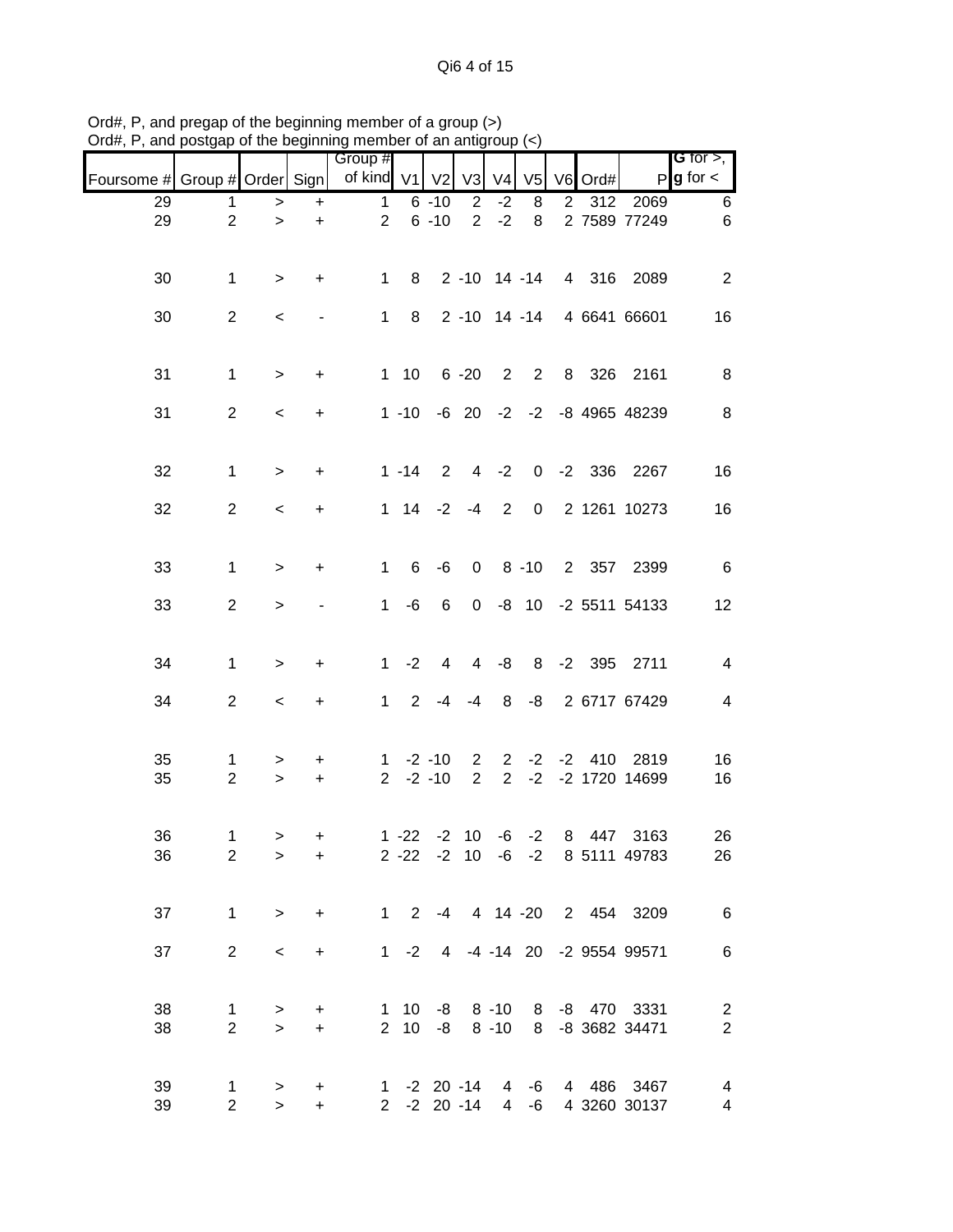|                               |                     |                     |                        | Group #        |                              |                            |                                  |                               |                   |                |         |                                           | <b>G</b> for $>$ ,                        |
|-------------------------------|---------------------|---------------------|------------------------|----------------|------------------------------|----------------------------|----------------------------------|-------------------------------|-------------------|----------------|---------|-------------------------------------------|-------------------------------------------|
| Foursome # Group # Order Sign |                     |                     |                        | of kind V1     |                              | V <sub>2</sub>             | V <sub>3</sub>                   | V <sub>4</sub>                | V <sub>5</sub>    |                | V6 Ord# | $\mathsf{P}$                              | $g$ for $\lt$                             |
| 29                            | 1                   | >                   | $\ddot{}$              | $\mathbf{1}$   |                              | $6 - 10$                   | $\overline{2}$                   | $-2$                          | 8                 | $\overline{2}$ | 312     | 2069                                      | 6                                         |
| 29                            | $\overline{2}$      | $\, > \,$           | $\ddot{}$              | $\overline{2}$ |                              | $6 - 10$                   | $\overline{2}$                   | $-2$                          | 8                 |                |         | 2 7589 77249                              | 6                                         |
| 30                            | $\mathbf 1$         | $\, > \,$           | +                      | $\mathbf{1}$   | 8                            |                            |                                  |                               | $2 - 10$ 14 $-14$ |                |         | 4 316 2089                                | $\overline{2}$                            |
| 30                            | $\overline{2}$      | $\,<$               |                        | $\mathbf{1}$   | 8                            |                            |                                  |                               |                   |                |         | 2 -10 14 -14 4 6641 66601                 | 16                                        |
| 31                            | $\mathbf 1$         | $\geq$              | $\ddot{}$              |                | $1 \quad 10$                 |                            | $6 - 20$                         |                               | $2 \quad 2$       |                |         | 8 326 2161                                | 8                                         |
| 31                            | $\overline{2}$      | $\,<\,$             | $\ddot{}$              |                | $1 - 10$                     |                            |                                  |                               |                   |                |         | -6 20 -2 -2 -8 4965 48239                 | 8                                         |
| 32                            | $\mathbf{1}$        | $\, > \,$           | $\ddot{}$              |                | $1 - 14$                     | $\overline{2}$             | $\overline{4}$                   | $-2$                          |                   |                |         | 0 -2 336 2267                             | 16                                        |
| 32                            | $\overline{2}$      | $\,<$               | $\ddot{}$              |                |                              | $1 \t14 \t-2 \t-4$         |                                  | $\overline{2}$                | $\mathbf 0$       |                |         | 2 1261 10273                              | 16                                        |
| 33                            | $\mathbf{1}$        | $\, > \,$           | $\ddot{}$              | $\mathbf{1}$   | 6                            | -6                         |                                  |                               | $0 \t 8 \t -10$   |                |         | 2 357 2399                                | 6                                         |
| 33                            | $\overline{2}$      | $\geq$              |                        | $\mathbf{1}$   | -6                           | 6                          | $\overline{0}$                   |                               |                   |                |         | -8 10 -2 5511 54133                       | 12                                        |
| 34                            | $\mathbf{1}$        | $\, >$              | +                      | $\mathbf{1}$   | $-2$                         | 4                          | 4                                | -8                            |                   |                |         | 8 -2 395 2711                             | 4                                         |
| 34                            | $\overline{2}$      | $\,<$               | $\ddot{}$              | $\mathbf{1}$   | 2                            |                            | $-4 - 4$                         | 8                             | -8                |                |         | 2 6717 67429                              | $\overline{\mathcal{A}}$                  |
| 35<br>35                      | 1<br>$\overline{2}$ | ><br>$\geq$         | $\ddot{}$<br>$\ddot{}$ |                |                              | $1 - 2 - 10$<br>$2 -2 -10$ | $\overline{2}$<br>$\overline{2}$ | $\overline{2}$<br>$2^{\circ}$ | $-2$<br>$-2$      | $-2$           | 410     | 2819<br>-2 1720 14699                     | 16<br>16                                  |
| 36<br>36                      | 1<br>$\overline{2}$ | ><br>$\geq$         | $\ddot{}$<br>$\ddot{}$ |                |                              | $1 - 22 - 2 10$            |                                  |                               | $-6 -2$           | 8              | 447     | 3163<br>2 -22 -2 10 -6 -2 8 5111 49783    | 26<br>26                                  |
| 37                            | $\mathbf{1}$        | $\geq$              | $+$                    |                |                              |                            |                                  |                               |                   |                |         | 1 2 -4 4 14 -20 2 454 3209                | $\overline{6}$                            |
| 37                            | $\overline{2}$      | $\,<$               | $+$                    |                |                              |                            |                                  |                               |                   |                |         | 1 -2 4 -4 -14 20 -2 9554 99571            | $\,6$                                     |
| 38<br>38                      | 1<br>$\overline{2}$ | $\, >$<br>$\geq$    | +<br>$\ddot{}$         |                | $1 \quad 10$<br>$2 \quad 10$ |                            |                                  | $-8$ $8$ $-10$                |                   |                |         | -8 8 -10 8 -8 470 3331<br>8 -8 3682 34471 | $\overline{c}$<br>$\overline{\mathbf{c}}$ |
| 39<br>39                      | 1<br>$\overline{2}$ | $\, > \,$<br>$\geq$ | $\ddot{}$<br>$\ddot{}$ |                |                              | 1 -2 20 -14<br>2 -2 20 -14 |                                  |                               |                   |                |         | 4 -6 4 486 3467<br>4 -6 4 3260 30137      | 4<br>4                                    |

Ord#, P, and pregap of the beginning member of a group (>) Ord#, P, and postgap of the beginning member of an antigroup (<)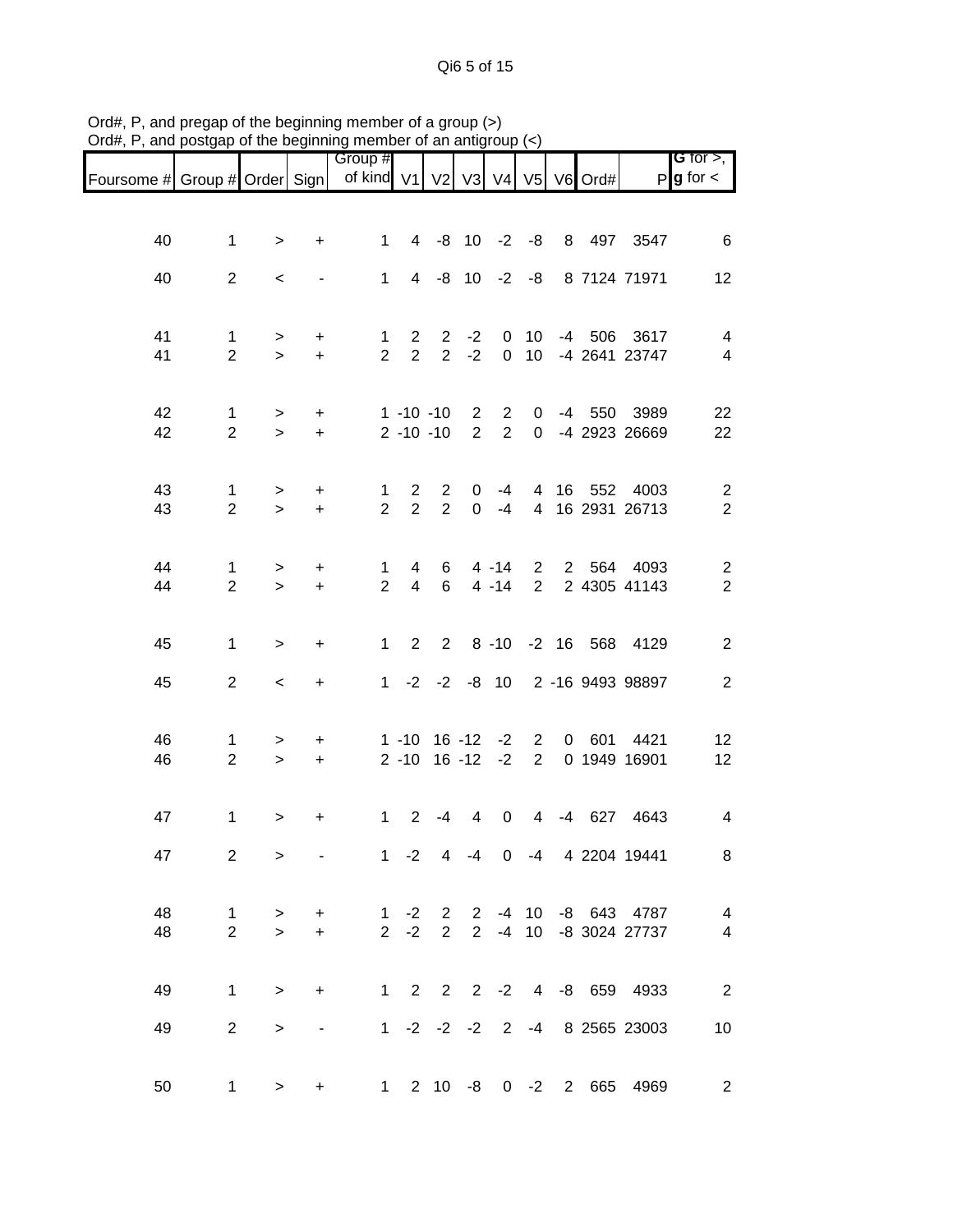Qi6 5 of 15

|                                                                            |                                |                  |                        | Group #                        |                                  |                     |                                  |                                |                                    |    |        |                                | <b>G</b> for $>$ ,                        |
|----------------------------------------------------------------------------|--------------------------------|------------------|------------------------|--------------------------------|----------------------------------|---------------------|----------------------------------|--------------------------------|------------------------------------|----|--------|--------------------------------|-------------------------------------------|
| Foursome # Group # Order Sign   of kind V1   V2   V3   V4   V5   V6   Ord# |                                |                  |                        |                                |                                  |                     |                                  |                                |                                    |    |        |                                | $P$ <b>g</b> for $\lt$                    |
|                                                                            |                                |                  |                        |                                |                                  |                     |                                  |                                |                                    |    |        |                                |                                           |
| 40                                                                         | 1                              | $\, > \,$        | $\ddot{}$              | $\mathbf 1$                    |                                  | 4 -8 10 -2 -8       |                                  |                                |                                    |    |        | 8 497 3547                     | 6                                         |
| 40                                                                         | $\overline{2}$                 | $\,<\,$          |                        | $\mathbf 1$                    |                                  | 4 -8 10 -2 -8       |                                  |                                |                                    |    |        | 8 7124 71971                   | 12                                        |
|                                                                            |                                |                  |                        |                                |                                  |                     |                                  |                                |                                    |    |        |                                |                                           |
| 41<br>41                                                                   | $\mathbf{1}$<br>$\overline{2}$ | ><br>$\geq$      | $\ddot{}$<br>$\ddot{}$ | $\mathbf{1}$<br>$\overline{2}$ | $\overline{2}$<br>$\overline{2}$ | $\overline{2}$<br>2 | $-2$<br>$-2$                     | 0<br>$\mathbf 0$               | 10 <sup>°</sup><br>10 <sup>°</sup> |    |        | -4 506 3617<br>-4 2641 23747   | 4<br>$\overline{\mathcal{A}}$             |
|                                                                            |                                |                  |                        |                                |                                  |                     |                                  |                                |                                    |    |        |                                |                                           |
| 42<br>42                                                                   | 1<br>$\overline{2}$            | ><br>$\geq$      | $\ddot{}$<br>$+$       |                                | $1 - 10 - 10$<br>$2 - 10 - 10$   |                     | $\overline{2}$<br>$\overline{2}$ | $\mathbf{2}$<br>$\overline{2}$ | 0<br>$\overline{0}$                |    | -4 550 | 3989<br>-4 2923 26669          | 22<br>22                                  |
|                                                                            |                                |                  |                        |                                |                                  |                     |                                  |                                |                                    |    |        |                                |                                           |
| 43<br>43                                                                   | 1<br>$\overline{2}$            | $\geq$<br>$\geq$ | $\ddot{}$<br>$\pm$     | 1<br>$\overline{2}$            | $\overline{2}$<br>$\overline{2}$ | 2<br>2              | 0<br>$\mathbf 0$                 | $-4$<br>$-4$                   | $\overline{4}$                     |    |        | 16 552 4003<br>4 16 2931 26713 | $\overline{\mathbf{c}}$<br>$\overline{2}$ |
|                                                                            |                                |                  |                        |                                |                                  |                     |                                  |                                |                                    |    |        |                                |                                           |
| 44<br>44                                                                   | $\mathbf{1}$<br>$\overline{2}$ | $\,>$<br>$\geq$  | $\ddot{}$<br>$\ddot{}$ | $\mathbf{1}$<br>$\overline{2}$ | 4<br>$\overline{4}$              | 6<br>6              |                                  | $4 - 14$<br>$4 - 14$           | $2^{\circ}$<br>$2^{\circ}$         |    |        | 2 564 4093<br>2 4305 41143     | $\overline{\mathbf{c}}$<br>$\overline{2}$ |
|                                                                            |                                |                  |                        |                                |                                  |                     |                                  |                                |                                    |    |        |                                |                                           |
| 45                                                                         | $\mathbf{1}$                   | $\, > \,$        | $\ddot{}$              | $\mathbf{1}$                   | $\overline{2}$                   | $\overline{2}$      |                                  |                                |                                    |    |        | 8 -10 -2 16 568 4129           | $\overline{c}$                            |
| 45                                                                         | $\overline{2}$                 | $\,<\,$          | $\ddot{}$              | $\mathbf 1$                    |                                  |                     |                                  |                                |                                    |    |        | -2 -2 -8 10 2 -16 9493 98897   | $\mathbf{2}$                              |
| 46                                                                         | 1                              |                  |                        |                                | 1 -10                            |                     | $16 - 12$                        | $-2$                           | $\overline{2}$                     | 0  | 601    | 4421                           | 12                                        |
| 46                                                                         | $\overline{2}$                 | ><br>$\,>$       | $\ddot{}$<br>$\ddot{}$ |                                | $2 - 10$                         |                     | $16 - 12$                        | $-2$                           | $2^{\circ}$                        |    |        | 0 1949 16901                   | 12                                        |
|                                                                            |                                |                  |                        |                                |                                  |                     |                                  |                                |                                    |    |        |                                |                                           |
| 47                                                                         | 1                              | $\, > \,$        | +                      | 1                              | 2                                | $-4$                | 4                                | 0                              | 4                                  | -4 | 627    | 4643                           | $\overline{\mathcal{A}}$                  |
| 47                                                                         | $\overline{2}$                 | $\geq$           |                        |                                |                                  |                     |                                  |                                |                                    |    |        | 1 -2 4 -4 0 -4 4 2204 19441    | 8                                         |
| 48                                                                         | $\mathbf{1}$                   | $\geq$           | $\ddot{}$              | $\mathbf{1}$                   |                                  |                     |                                  |                                |                                    |    |        | -2 2 2 -4 10 -8 643 4787       | $\overline{\mathbf{4}}$                   |
| 48                                                                         | $\overline{2}$                 | $\geq$           | $+$                    | $2^{\circ}$                    | $-2$                             | $2^{\circ}$         |                                  |                                |                                    |    |        | 2 -4 10 -8 3024 27737          | $\overline{\mathcal{A}}$                  |
| 49                                                                         | $\mathbf{1}$                   | $\geq$           | $\ddot{}$              |                                |                                  |                     |                                  |                                |                                    |    |        | 1 2 2 2 -2 4 -8 659 4933       | $\overline{\phantom{a}}$                  |
| 49                                                                         | $\overline{2}$                 | $\,>$            |                        |                                | $1 -2 -2 -2$                     |                     |                                  | $\overline{2}$                 |                                    |    |        | -4 8 2565 23003                | 10                                        |
|                                                                            |                                |                  |                        |                                |                                  |                     |                                  |                                |                                    |    |        |                                |                                           |
| 50                                                                         | $\mathbf 1$                    | $\geq$           | $\ddot{}$              |                                | $1 \t2 \t10 \t-8$                |                     |                                  |                                |                                    |    |        | 0 -2 2 665 4969                | $\overline{c}$                            |

Ord#, P, and pregap of the beginning member of a group (>) Ord#, P, and postgap of the beginning member of an antigroup (<)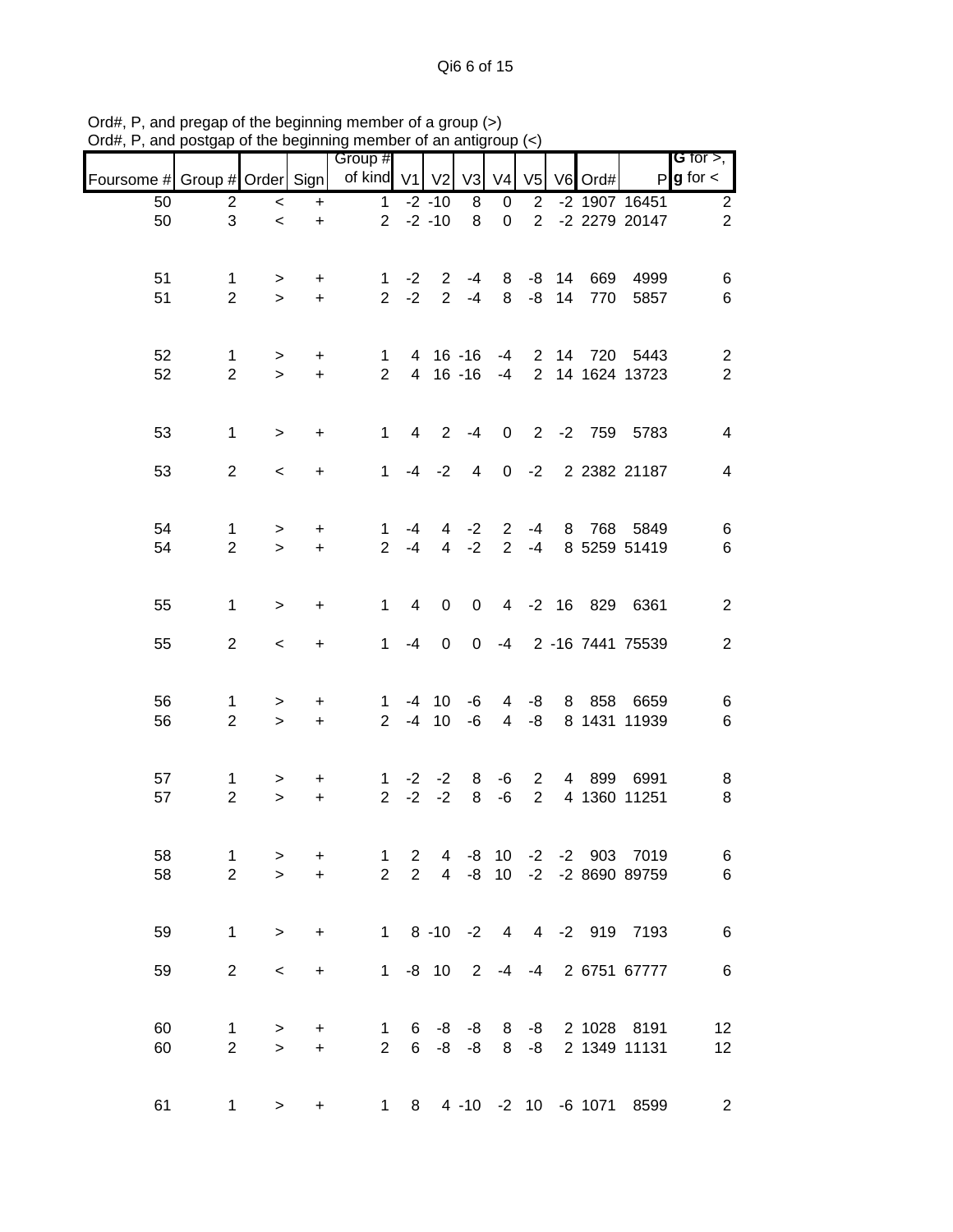|                               |                                |                     |                        | Group #                        |                                  |                      |                |                                  |                                  |               |            |                                            | G for $>$ ,                      |
|-------------------------------|--------------------------------|---------------------|------------------------|--------------------------------|----------------------------------|----------------------|----------------|----------------------------------|----------------------------------|---------------|------------|--------------------------------------------|----------------------------------|
| Foursome # Group # Order Sign |                                |                     |                        | of kind V1                     |                                  | V <sub>2</sub>       | V <sub>3</sub> | V <sub>4</sub>                   | V <sub>5</sub>                   |               | V6 Ord#    |                                            | $P g$ for $\lt$                  |
| 50                            | $\overline{\mathbf{c}}$        | $\,<\,$             | $\ddot{}$              | $\mathbf 1$                    |                                  | $-2 - 10$            | 8              | 0                                | $\overline{2}$                   |               |            | -2 1907 16451                              | $\sqrt{2}$                       |
| 50                            | 3                              | $\,<$               | $\ddot{}$              |                                |                                  | $2 -2 -10$           | 8              | $\mathbf 0$                      | $\overline{2}$                   |               |            | -2 2279 20147                              | $\overline{2}$                   |
| 51<br>51                      | 1<br>$\overline{2}$            | ><br>$\geq$         | +<br>$\ddot{}$         | $\mathbf{1}$<br>$\overline{2}$ | $-2$<br>$-2$                     | $\overline{2}$<br>2  | -4<br>$-4$     | 8<br>8                           | -8                               | $-8$ 14<br>14 | 669<br>770 | 4999<br>5857                               | 6<br>6                           |
| 52<br>52                      | 1<br>$\overline{2}$            | ><br>$\geq$         | +<br>$\ddot{}$         | 1.<br>$\overline{2}$           |                                  | 4 16 -16<br>4 16 -16 |                | -4<br>$-4$                       | $\overline{2}$<br>$\overline{2}$ |               | 14 720     | 5443<br>14 1624 13723                      | $\overline{c}$<br>$\overline{2}$ |
| 53                            | $\mathbf{1}$                   | $\, > \,$           | $\ddot{}$              | $\mathbf 1$                    | 4                                | $\overline{2}$       | $-4$           | $\mathbf 0$                      |                                  |               |            | 2 -2 759 5783                              | 4                                |
| 53                            | $\overline{2}$                 | $\,<\,$             | $\ddot{}$              | 1                              | $-4$                             | $-2$                 | 4              |                                  | $0 -2$                           |               |            | 2 2382 21187                               | $\overline{\mathcal{A}}$         |
| 54<br>54                      | 1<br>$\overline{2}$            | $\, > \,$<br>$\geq$ | +<br>$\ddot{}$         | $\mathbf 1$<br>$\overline{2}$  | -4<br>$-4$                       | 4<br>$\overline{4}$  | $-2$<br>$-2$   | $\overline{2}$<br>$\overline{2}$ | -4<br>$-4$                       | 8             |            | 768 5849<br>8 5259 51419                   | 6<br>6                           |
| 55                            | $\mathbf{1}$                   | >                   | +                      | 1                              | 4                                | 0                    | $\mathbf 0$    |                                  | $4 - 2 16$                       |               |            | 829 6361                                   | $\overline{c}$                   |
| 55                            | $\overline{2}$                 | $\,<\,$             | +                      | $\mathbf 1$                    | $-4$                             | 0                    | 0              |                                  |                                  |               |            | -4 2 -16 7441 75539                        | $\overline{2}$                   |
| 56<br>56                      | 1<br>$\overline{c}$            | ><br>$\geq$         | +<br>$\ddot{}$         | 1<br>$\overline{2}$            | $-4$                             | $-4$ 10<br>10        | -6<br>-6       | 4<br>4                           | -8<br>-8                         | 8             | 858        | 6659<br>8 1431 11939                       | 6<br>$\,6$                       |
| 57<br>57                      | 1<br>$\overline{c}$            | ><br>$\,>$          | +<br>$\ddot{}$         | 1.<br>$\overline{2}$           | $-2$<br>$-2$                     | $-2$<br>$-2$         | 8<br>8         | -6<br>-6                         | 2<br>$\overline{2}$              | 4             | 899        | 6991<br>4 1360 11251                       | 8<br>8                           |
| 58<br>58                      | $\mathbf{1}$<br>$\overline{2}$ | ><br>$\geq$         | $\ddot{}$<br>$\ddot{}$ | 1<br>$\overline{2}$            | $\overline{c}$<br>$\overline{2}$ |                      | 4 -8 10        |                                  |                                  |               |            | -2 -2 903 7019<br>4 -8 10 -2 -2 8690 89759 | $6\phantom{.}6$<br>$\,6$         |
| 59                            | $\mathbf{1}$                   | $\geq$              | $\ddot{}$              |                                |                                  |                      |                |                                  |                                  |               |            | 1 8 -10 -2 4 4 -2 919 7193                 | $\,6$                            |
| 59                            | $\overline{2}$                 | $\,<$               | +                      |                                |                                  | $1 - 8 10 2$         |                |                                  |                                  |               |            | -4 -4 2 6751 67777                         | $\,6$                            |
| 60<br>60                      | 1<br>$\overline{2}$            | ><br>$\geq$         | +<br>$\ddot{}$         | 1<br>$\overline{2}$            | 6                                | $6 - 8 - 8$          | -8 -8          |                                  | $8 - 8$<br>$8 - 8$               |               |            | 2 1028 8191<br>2 1349 11131                | 12<br>12                         |
| 61                            | 1                              | $\, > \,$           | +                      |                                | $1 \quad$                        |                      |                |                                  |                                  |               |            | 8 4 -10 -2 10 -6 1071 8599                 | $\overline{2}$                   |

Ord#, P, and pregap of the beginning member of a group (>) Ord#, P, and postgap of the beginning member of an antigroup (<)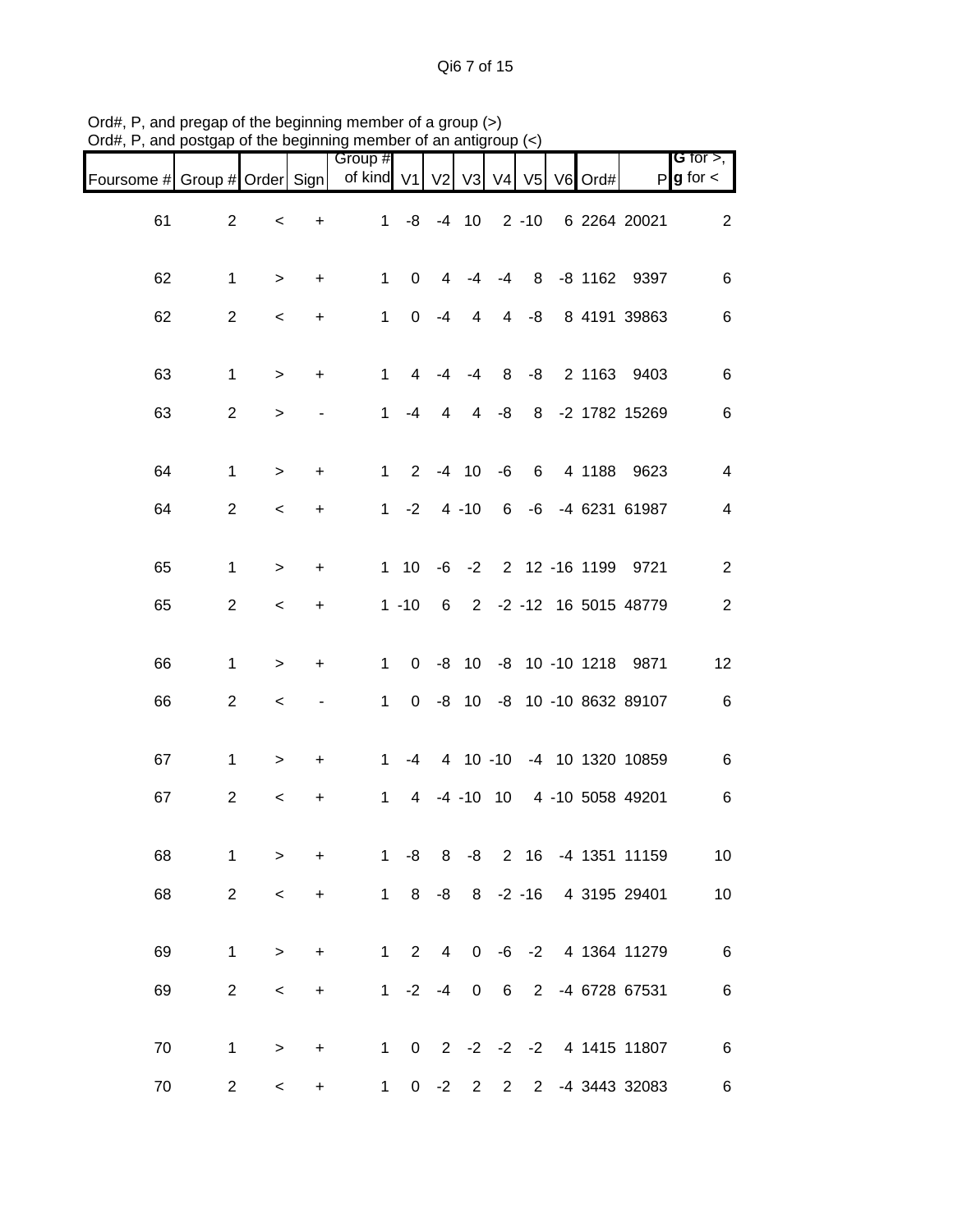Qi6 7 of 15

| Foursome # Group # Order Sign |                |           |           | Group #<br>of kind V1 |                |                | V2 V3    | V <sub>4</sub>          | V <sub>5</sub> | V6 Ord# |                              | G for $>$ ,<br>$P$ <b>g</b> for $\lt$ |
|-------------------------------|----------------|-----------|-----------|-----------------------|----------------|----------------|----------|-------------------------|----------------|---------|------------------------------|---------------------------------------|
| 61                            | $\overline{2}$ | $\,<\,$   | $\ddot{}$ | 1                     |                | $-8$ $-4$ 10   |          |                         | $2 - 10$       |         | 6 2264 20021                 | $\overline{c}$                        |
| 62                            | $\mathbf{1}$   | $\, > \,$ | $\ddot{}$ | $\mathbf{1}$          | 0              | $\overline{4}$ | $-4$     | -4                      |                |         | 8 -8 1162 9397               | 6                                     |
| 62                            | $\overline{2}$ | $\,<\,$   | $\ddot{}$ | $\mathbf{1}$          | $\mathbf 0$    | -4             | 4        |                         | $4 - 8$        |         | 8 4191 39863                 | $\,6$                                 |
| 63                            | $\mathbf{1}$   | $\,>$     | $\ddot{}$ | $\mathbf{1}$          | 4              | -4             | $-4$     |                         | $8 - 8$        |         | 2 1163 9403                  | $\,6$                                 |
| 63                            | $\overline{2}$ | $\, >$    |           | $\mathbf{1}$          | -4             | 4              | 4        | -8                      |                |         | 8 -2 1782 15269              | 6                                     |
| 64                            | $\mathbf{1}$   | $\, >$    | $\ddot{}$ | $\mathbf{1}$          | $\overline{2}$ |                | $-4$ 10  | -6                      | 6              |         | 4 1188 9623                  | 4                                     |
| 64                            | $\overline{2}$ | $\,<\,$   | $\ddot{}$ |                       | $1 -2$         |                | $4 - 10$ |                         |                |         | 6 -6 -4 6231 61987           | $\overline{4}$                        |
| 65                            | $\mathbf{1}$   | $\, > \,$ | $\ddot{}$ |                       | $1 \quad 10$   |                |          |                         |                |         | -6 -2 2 12 -16 1199 9721     | $\overline{a}$                        |
| 65                            | $\overline{2}$ | $\,<\,$   | $\ddot{}$ |                       | $1 - 10$       |                |          |                         |                |         | 6 2 -2 -12 16 5015 48779     | $\overline{2}$                        |
| 66                            | 1              | $\, >$    | $\ddot{}$ | $\mathbf{1}$          | $\mathbf{0}$   |                |          |                         |                |         | -8 10 -8 10 -10 1218 9871    | 12                                    |
| 66                            | $\overline{a}$ | $\,<$     |           | $\mathbf{1}$          |                |                |          |                         |                |         | 0 -8 10 -8 10 -10 8632 89107 | $\,6$                                 |
| 67                            | $\mathbf{1}$   | $\, > \,$ | $\ddot{}$ | $\mathbf{1}$          |                |                |          |                         |                |         | -4 4 10 -10 -4 10 1320 10859 | $\,6$                                 |
| 67                            | $\overline{2}$ | $\,<$     | $\ddot{}$ | $\mathbf{1}$          | 4              |                |          |                         |                |         | -4 -10 10 4 -10 5058 49201   | 6                                     |
| 68                            | 1              | $\,>$     | +         | 1                     | -8             |                |          |                         |                |         | 8 -8 2 16 -4 1351 11159      | 10 <sub>1</sub>                       |
| 68                            | $\overline{2}$ | $\,<\,$   | $\ddot{}$ |                       |                |                |          |                         |                |         | 1 8 -8 8 -2 -16 4 3195 29401 | 10                                    |
| 69                            | $\mathbf{1}$   | $\,>$     | $\ddot{}$ |                       |                |                |          |                         |                |         | 1 2 4 0 -6 -2 4 1364 11279   | $\overline{6}$                        |
| 69                            | $\overline{a}$ | $\,<\,$   | $\ddot{}$ |                       |                | $1 -2 -4 0$    |          |                         |                |         | 6 2 -4 6728 67531            | $\,6$                                 |
| 70                            | $\mathbf{1}$   | $\, > \,$ | $\ddot{}$ |                       |                |                |          |                         |                |         | 1 0 2 -2 -2 -2 4 1415 11807  | $\,6$                                 |
| $70\,$                        | $\overline{2}$ | $\,<\,$   | +         | $1 \quad$             |                | $0 -2 2$       |          | $\overline{\mathbf{2}}$ |                |         | 2 -4 3443 32083              | 6                                     |

Ord#, P, and pregap of the beginning member of a group (>) Ord#, P, and postgap of the beginning member of an antigroup (<)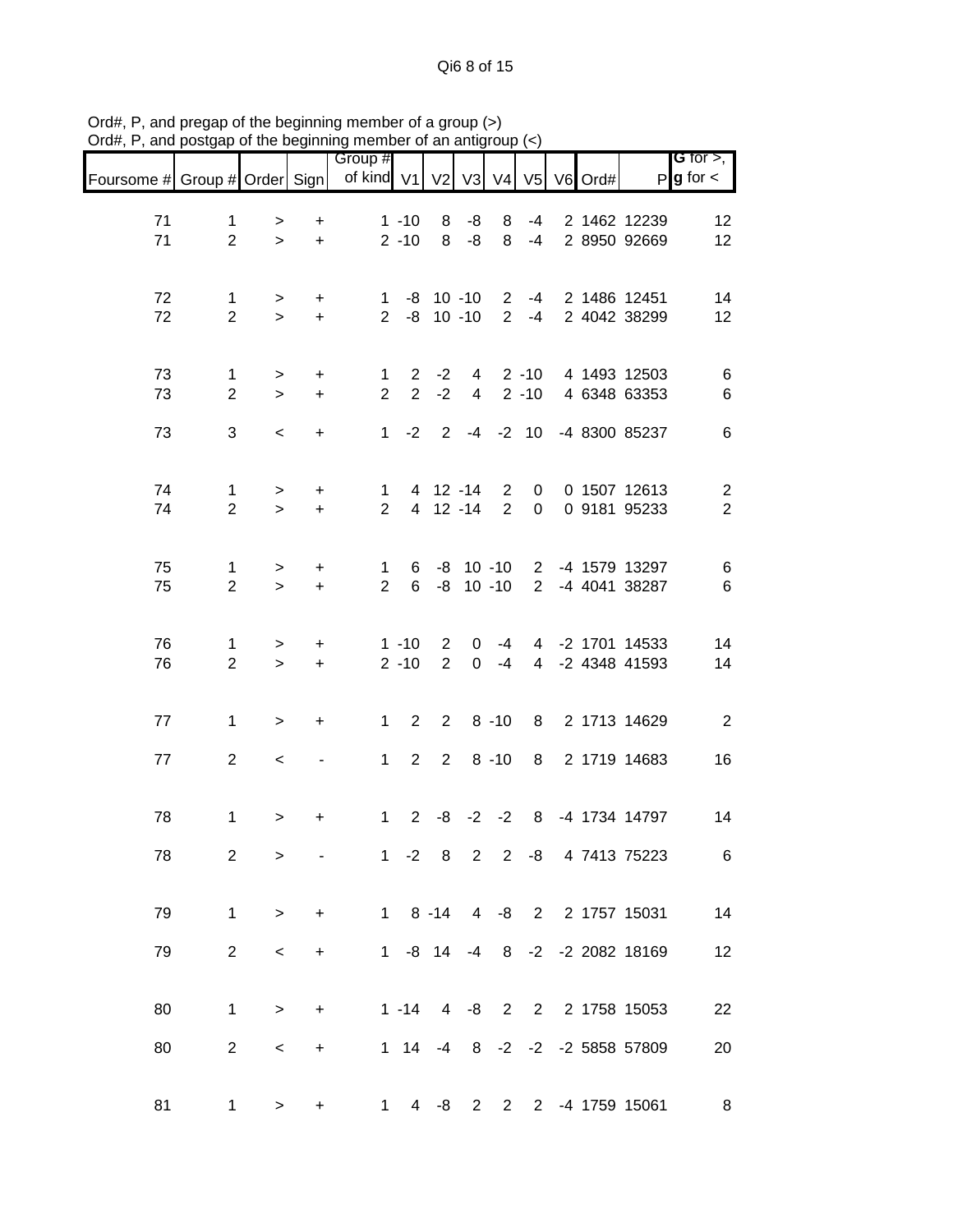Qi6 8 of 15

|                               |                                |                     |                        | Group #                        |                                  |                                |                            |                                  |                      |  |                                    | <b>G</b> for $>$ ,                        |
|-------------------------------|--------------------------------|---------------------|------------------------|--------------------------------|----------------------------------|--------------------------------|----------------------------|----------------------------------|----------------------|--|------------------------------------|-------------------------------------------|
| Foursome # Group # Order Sign |                                |                     |                        | of kind V1 V2 V3 V4 V5 V6 Ord# |                                  |                                |                            |                                  |                      |  |                                    | $P g$ for $\lt$                           |
| 71<br>71                      | $\mathbf{1}$<br>$\overline{2}$ | ><br>$\,$           | +<br>$\ddot{}$         |                                | $1 - 10$<br>$2 - 10$             | 8<br>8                         | -8<br>$-8$                 | 8<br>8                           | -4<br>$-4$           |  | 2 1462 12239<br>2 8950 92669       | 12<br>12                                  |
| 72<br>72                      | $\mathbf{1}$<br>$\overline{2}$ | ><br>$\geq$         | +<br>$\ddot{}$         | $\mathbf 1$<br>$\overline{2}$  |                                  | $-8$ 10 $-10$<br>$-8$ 10 $-10$ |                            | 2 <sup>1</sup>                   | $2 - 4$<br>$-4$      |  | 2 1486 12451<br>2 4042 38299       | 14<br>12                                  |
| 73<br>73                      | $\mathbf{1}$<br>$\overline{2}$ | ><br>$\geq$         | +<br>$\ddot{}$         | 1<br>$\overline{2}$            | $\overline{2}$<br>$\overline{2}$ | $-2$<br>$-2$                   | 4<br>$\overline{4}$        |                                  | $2 - 10$<br>$2 - 10$ |  | 4 1493 12503<br>4 6348 63353       | 6<br>$\,6$                                |
| 73                            | 3                              | $\,<$               | +                      | $\mathbf{1}$                   | $-2$                             |                                |                            | $2 -4 -2 10$                     |                      |  | -4 8300 85237                      | $\,6$                                     |
| 74<br>74                      | $\mathbf 1$<br>$\overline{2}$  | ><br>$\geq$         | $\ddot{}$<br>$\ddot{}$ | 1.<br>$\overline{2}$           |                                  | 4 12 -14<br>4 12 -14           |                            | $\overline{2}$<br>$\overline{2}$ | 0<br>0               |  | 0 1507 12613<br>0 9181 95233       | $\overline{\mathbf{c}}$<br>$\overline{2}$ |
| 75<br>75                      | $\mathbf{1}$<br>$\overline{2}$ | $\, > \,$<br>$\geq$ | $\ddot{}$<br>$\ddot{}$ | $\mathbf 1$<br>$\overline{2}$  | 6                                | $6 - 8 10 - 10$                | $-8$ 10 $-10$              |                                  |                      |  | 2 -4 1579 13297<br>2 -4 4041 38287 | 6<br>$\,6$                                |
| 76<br>76                      | $\mathbf{1}$<br>$\overline{2}$ | ><br>$\geq$         | $\ddot{}$<br>$\ddot{}$ |                                | $1 - 10$<br>$2 - 10$             | $\overline{2}$<br>2            | $\mathbf 0$<br>$\mathbf 0$ | $-4$<br>$-4$                     |                      |  | 4 -2 1701 14533<br>4 -2 4348 41593 | 14<br>14                                  |
| 77                            | $\mathbf{1}$                   | $\, >$              | +                      | $\mathbf{1}$                   | 2                                | $\overline{2}$                 |                            | $8 - 10$                         | 8                    |  | 2 1713 14629                       | $\overline{2}$                            |
| 77                            | $\overline{2}$                 | $\,<$               |                        | $\mathbf 1$                    | $\overline{2}$                   | $2^{\circ}$                    |                            | $8 - 10$                         | 8                    |  | 2 1719 14683                       | 16                                        |
| 78                            | 1                              | $\, > \,$           | $\ddot{}$              | $\mathbf{1}$                   | $2^{\circ}$                      | -8                             |                            | $-2 -2$                          | 8                    |  | -4 1734 14797                      | 14                                        |
| 78                            | $\overline{2}$                 | $\, > \,$           |                        |                                | $1 -2 8$                         |                                | $2^{\circ}$                |                                  |                      |  | 2 -8 4 7413 75223                  | 6                                         |
| 79                            | $\mathbf{1}$                   | $\geq$              | $+$                    |                                |                                  |                                |                            |                                  |                      |  | 1 8 -14 4 -8 2 2 1757 15031        | 14                                        |
| 79                            | $\overline{2}$                 | $\,<\,$             | $\ddot{}$              |                                |                                  |                                |                            |                                  |                      |  | 1 -8 14 -4 8 -2 -2 2082 18169      | 12                                        |
| 80                            | $\mathbf{1}$                   | $\geq$              | $\ddot{}$              |                                |                                  |                                |                            |                                  |                      |  | 1 -14 4 -8 2 2 2 1758 15053        | 22                                        |
| 80                            | $\overline{2}$                 | $\,<$               | $\ddot{}$              |                                |                                  |                                |                            |                                  |                      |  | 1 14 -4 8 -2 -2 -2 5858 57809      | 20                                        |
| 81                            | 1                              | $\, > \,$           | +                      | $\mathbf 1$                    | 4                                | -8                             | $2^{\circ}$                | $2^{\circ}$                      |                      |  | 2 -4 1759 15061                    | $\bf 8$                                   |

Ord#, P, and pregap of the beginning member of a group (>) Ord#, P, and postgap of the beginning member of an antigroup (<)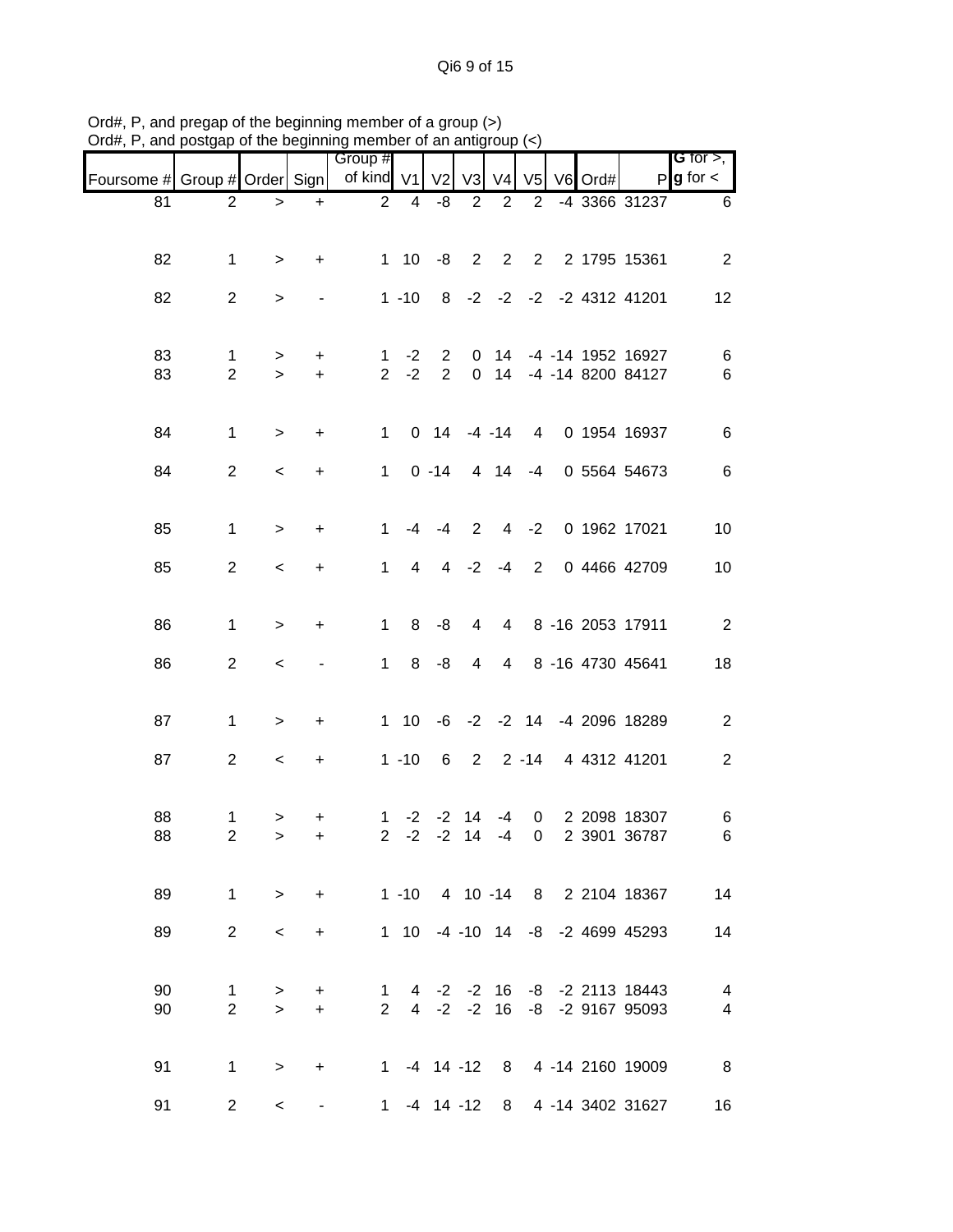Qi6 9 of 15

|                               |                     |                          |                        | Group #             |                 |                |                |                |                |         |                                 | <b>G</b> for $>$ , |
|-------------------------------|---------------------|--------------------------|------------------------|---------------------|-----------------|----------------|----------------|----------------|----------------|---------|---------------------------------|--------------------|
| Foursome # Group # Order Sign |                     |                          |                        | of kind V1          |                 | V <sub>2</sub> | V <sub>3</sub> | V <sub>4</sub> | V <sub>5</sub> | V6 Ord# |                                 | $P g$ for $\lt$    |
| 81                            | $\overline{2}$      | $\,>$                    | $+$                    | $\overline{2}$      | 4               | $-8$           | $\overline{2}$ | 2              | 2              |         | -4 3366 31237                   | 6                  |
|                               |                     |                          |                        |                     |                 |                |                |                |                |         |                                 |                    |
| 82                            | $\mathbf 1$         | $\, > \,$                | $\ddot{}$              |                     | $1 10 -8 2$     |                |                | $\overline{2}$ |                |         | 2 2 1795 15361                  | $\overline{2}$     |
|                               |                     |                          |                        |                     |                 |                |                |                |                |         |                                 |                    |
| 82                            | $\overline{2}$      | $\, > \,$                |                        |                     | $1 - 10$        |                |                |                |                |         | 8 -2 -2 -2 -2 4312 41201        | 12                 |
|                               |                     |                          |                        |                     |                 |                |                |                |                |         |                                 |                    |
| 83                            | 1                   | $\, >$                   | $\ddot{}$              | 1                   | $-2$            | $\mathbf{2}$   | $\mathbf 0$    | 14             |                |         | -4 -14 1952 16927               | 6                  |
| 83                            | $\overline{2}$      | $\, >$                   | $\ddot{}$              | $\overline{2}$      | $-2$            | $2^{\circ}$    | $\mathbf 0$    |                |                |         | 14 -4 -14 8200 84127            | $\,6$              |
|                               |                     |                          |                        |                     |                 |                |                |                |                |         |                                 |                    |
| 84                            | $\mathbf{1}$        | $\, >$                   | $\ddot{}$              | $\mathbf{1}$        |                 | $0$ 14 -4 -14  |                |                | $\overline{4}$ |         | 0 1954 16937                    | $\,6$              |
| 84                            | $\overline{2}$      | $\overline{\phantom{a}}$ | $\ddot{}$              | $\mathbf{1}$        |                 | $0 - 14$       |                | 4 14           | $-4$           |         | 0 5564 54673                    | $\,6$              |
|                               |                     |                          |                        |                     |                 |                |                |                |                |         |                                 |                    |
|                               |                     |                          |                        |                     |                 |                |                |                |                |         |                                 |                    |
| 85                            | $\mathbf 1$         | $\, > \,$                | $\ddot{}$              | $\mathbf 1$         | $-4$            | $-4$           | $\overline{2}$ | $\overline{4}$ | $-2$           |         | 0 1962 17021                    | 10                 |
| 85                            | $\overline{2}$      | $\,<\,$                  | +                      | 1                   | 4               | 4              | $-2$           | $-4$           | $\overline{2}$ |         | 0 4466 42709                    | 10                 |
|                               |                     |                          |                        |                     |                 |                |                |                |                |         |                                 |                    |
| 86                            | $\mathbf{1}$        | $\geq$                   | $\ddot{}$              | $\mathbf 1$         | 8               | -8             | 4              | $\overline{4}$ |                |         | 8 -16 2053 17911                | $\overline{2}$     |
|                               |                     |                          |                        |                     |                 |                |                |                |                |         |                                 |                    |
| 86                            | $\overline{a}$      | $\,<\,$                  |                        | $\mathbf 1$         | 8               | $-8$           | $\overline{4}$ | $\overline{4}$ |                |         | 8 -16 4730 45641                | 18                 |
|                               |                     |                          |                        |                     |                 |                |                |                |                |         |                                 |                    |
| 87                            | $\mathbf{1}$        | $\, >$                   | +                      |                     |                 |                |                |                |                |         | 1 10 -6 -2 -2 14 -4 2096 18289  | $\overline{c}$     |
|                               |                     |                          |                        |                     |                 |                |                |                |                |         |                                 |                    |
| 87                            | $\overline{2}$      | $\,<\,$                  | $\ddot{}$              |                     | $1 - 10$        | 6              | $\overline{2}$ |                | $2 - 14$       |         | 4 4312 41201                    | $\overline{c}$     |
|                               |                     |                          |                        |                     |                 |                |                |                |                |         |                                 |                    |
| 88                            | 1                   | >                        | +                      | $\mathbf 1$         |                 | $-2$ $-2$      | 14             | -4             | 0              |         | 2 2098 18307                    | 6                  |
| 88                            | $\overline{c}$      | $\mathbf{L}$             | $\ddot{}$              | $\overline{2}$      | $-2$            | $-2$           | 14             | $-4$           | 0              |         | 2 3901 36787                    | 6                  |
|                               |                     |                          |                        |                     |                 |                |                |                |                |         |                                 |                    |
| 89                            | $\mathbf{1}$        | $\geq$                   | $\ddot{}$              |                     |                 |                |                |                |                |         | 1 -10 4 10 -14 8 2 2104 18367   | 14                 |
| 89                            | $\overline{2}$      | $\,<\,$                  | $\ddot{}$              |                     |                 |                |                |                |                |         | 1 10 -4 -10 14 -8 -2 4699 45293 | 14                 |
|                               |                     |                          |                        |                     |                 |                |                |                |                |         |                                 |                    |
| 90                            |                     |                          |                        |                     |                 |                |                |                |                |         | 4 -2 -2 16 -8 -2 2113 18443     | 4                  |
| 90                            | 1<br>$\overline{2}$ | $\, > \,$<br>$\geq$      | $\ddot{}$<br>$\ddot{}$ | 1<br>$\overline{2}$ |                 | $4 -2 -2$      |                | 16             |                |         | -8 -2 9167 95093                | 4                  |
|                               |                     |                          |                        |                     |                 |                |                |                |                |         |                                 |                    |
| 91                            | $\mathbf 1$         |                          |                        |                     | 1 -4 14 -12     |                |                |                |                |         | 8 4 -14 2160 19009              | 8                  |
|                               |                     | $\geq$                   | $\ddot{}$              |                     |                 |                |                |                |                |         |                                 |                    |
| 91                            | $\overline{2}$      | $\,<\,$                  | $\blacksquare$         |                     | $1 - 4 14 - 12$ |                |                |                |                |         | 8 4 -14 3402 31627              | 16                 |

Ord#, P, and pregap of the beginning member of a group (>) Ord#, P, and postgap of the beginning member of an antigroup (<)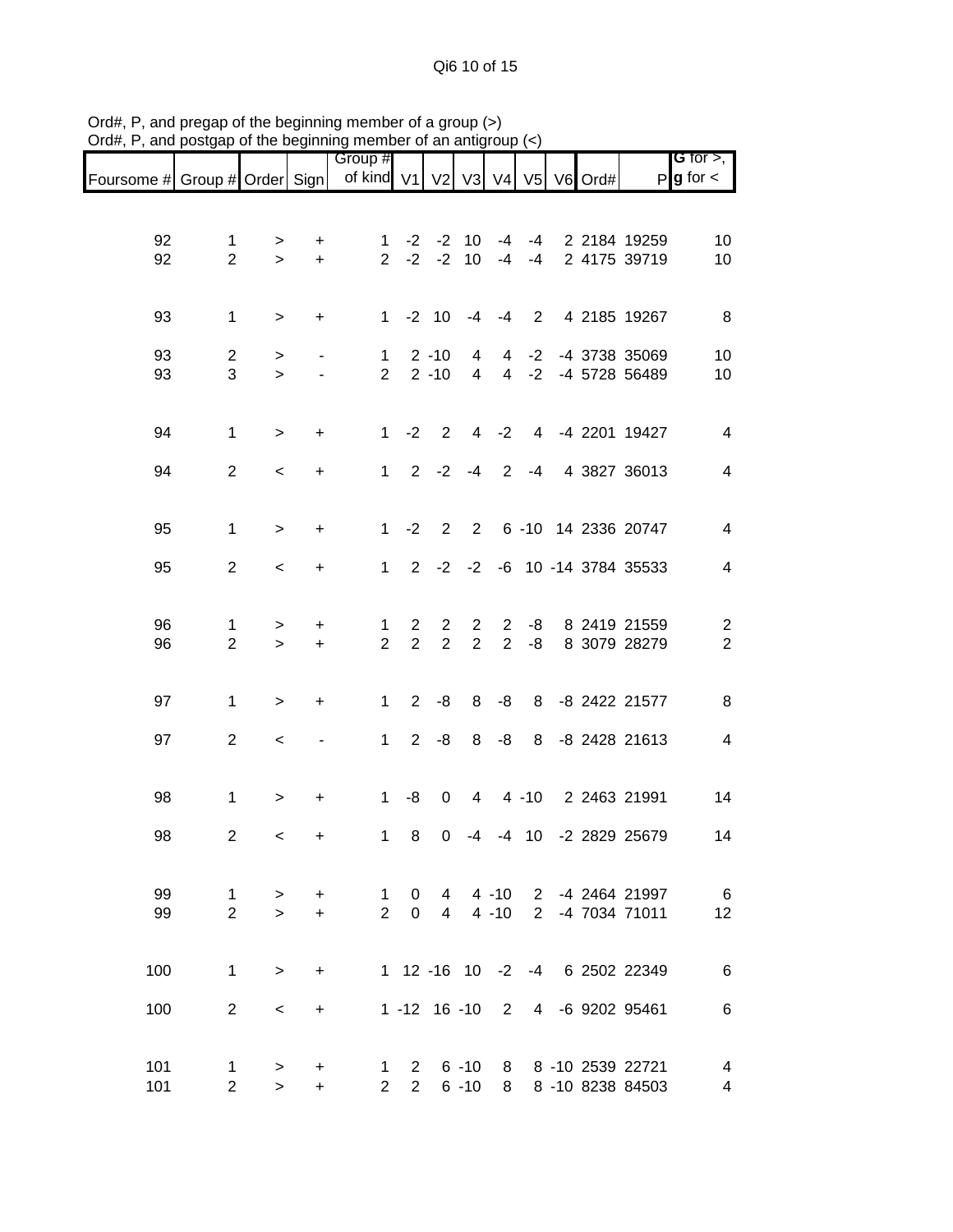Qi6 10 of 15

|                               |                                |                    |                          | Group #                                    |                                  |                                  |                                  |                                  |                |  |                                        | <b>G</b> for $>$ ,                                  |
|-------------------------------|--------------------------------|--------------------|--------------------------|--------------------------------------------|----------------------------------|----------------------------------|----------------------------------|----------------------------------|----------------|--|----------------------------------------|-----------------------------------------------------|
| Foursome # Group # Order Sign |                                |                    |                          | of kind V1   V2   V3   V4   V5   V6   Ord# |                                  |                                  |                                  |                                  |                |  |                                        | $P$ <b>g</b> for $\lt$                              |
| 92<br>92                      | 1<br>$\overline{2}$            | ><br>$\,$          | $\ddot{}$<br>$\ddot{}$   | 1<br>$\overline{2}$                        | $-2$<br>$-2$                     | $-2$<br>$-2$                     | 10<br>10                         | $-4$<br>$-4$                     | -4<br>$-4$     |  | 2 2184 19259<br>2 4175 39719           | 10<br>10                                            |
| 93                            | $\mathbf{1}$                   | $\,$               | $\ddot{}$                | $\mathbf{1}$                               |                                  | $-2$ 10                          | $-4$                             | $-4$                             | $\overline{2}$ |  | 4 2185 19267                           | 8                                                   |
| 93<br>93                      | $\overline{c}$<br>3            | ><br>$\,$          | $\overline{\phantom{a}}$ | $\mathbf 1$<br>$\overline{2}$              |                                  | $2 - 10$<br>$2 - 10$             | 4<br>4                           | 4<br>$\overline{4}$              | $-2$<br>$-2$   |  | -4 3738 35069<br>-4 5728 56489         | 10<br>10                                            |
| 94                            | $\mathbf 1$                    | $\, > \,$          | $\ddot{}$                | $\mathbf 1$                                | $-2$                             | $\overline{2}$                   | 4                                | $-2$                             |                |  | 4 -4 2201 19427                        | $\overline{\mathbf{4}}$                             |
| 94                            | $\overline{2}$                 | $\,<\,$            | $\ddot{}$                | $\mathbf{1}$                               | $2^{\circ}$                      | $-2$                             | $-4$                             | $\overline{2}$                   | $-4$           |  | 4 3827 36013                           | $\overline{\mathbf{4}}$                             |
| 95                            | $\mathbf 1$                    | $\geq$             | $\ddot{}$                | $\mathbf{1}$                               | $-2$                             | $\overline{2}$                   | $2^{\circ}$                      |                                  |                |  | 6 -10 14 2336 20747                    | 4                                                   |
| 95                            | $\overline{2}$                 | $\,<\,$            | $\ddot{}$                | $\mathbf{1}$                               |                                  |                                  |                                  |                                  |                |  | 2 -2 -2 -6 10 -14 3784 35533           | $\overline{\mathcal{A}}$                            |
| 96<br>96                      | 1<br>$\overline{2}$            | $\, > \,$<br>$\,>$ | $\ddot{}$<br>$\ddot{}$   | $\mathbf 1$<br>$\overline{2}$              | $\overline{2}$<br>$\overline{2}$ | $\overline{c}$<br>$\overline{2}$ | $\overline{2}$<br>$\overline{2}$ | $\overline{c}$<br>$\overline{2}$ | -8<br>$-8$     |  | 8 2419 21559<br>8 3079 28279           | $\overline{\mathbf{c}}$<br>$\overline{2}$           |
| 97                            | $\mathbf{1}$                   | $\, > \,$          | $\ddot{}$                | $\mathbf 1$                                | $\overline{2}$                   | -8                               | 8                                | -8                               | 8              |  | -8 2422 21577                          | 8                                                   |
| 97                            | $\overline{2}$                 | $\,<\,$            |                          | $\mathbf{1}$                               | $\overline{2}$                   | -8                               | 8                                | -8                               | 8              |  | -8 2428 21613                          | $\overline{\mathcal{A}}$                            |
| 98                            | 1                              | $\, > \,$          | $\ddot{}$                | 1                                          | -8                               | 0                                | 4                                |                                  | $4 - 10$       |  | 2 2463 21991                           | 14                                                  |
| 98                            | $\overline{c}$                 | $\,<\,$            | $\ddot{}$                | 1                                          | 8                                | 0                                | -4                               |                                  | $-4$ 10        |  | -2 2829 25679                          | 14                                                  |
| 99<br>99                      | $\mathbf{1}$<br>$\overline{2}$ | $\geq$<br>$\geq$   | $\ddot{}$<br>$\ddot{}$   | $\mathbf 1$<br>$\overline{2}$              | $\mathbf{0}$<br>$\overline{0}$   | $\overline{4}$                   | $4 \t 4 \t -10$                  | $4 - 10$                         |                |  | 2 -4 2464 21997<br>2 -4 7034 71011     | 6<br>12                                             |
| 100                           | $\mathbf{1}$                   | $\geq$             | $+$                      |                                            |                                  |                                  |                                  |                                  |                |  | 1 12 -16 10 -2 -4 6 2502 22349         | $\,6$                                               |
| 100                           | $\overline{2}$                 | $\,<\,$            | $\ddot{}$                |                                            |                                  |                                  |                                  |                                  |                |  | 1 -12 16 -10 2 4 -6 9202 95461         | $\,6$                                               |
| 101<br>101                    | $\mathbf{1}$<br>$\overline{2}$ | ><br>$\geq$        | +<br>$\ddot{}$           | 1<br>$\overline{2}$                        | $\overline{2}$<br>$\overline{2}$ |                                  | $6 - 10$<br>$6 - 10$             | 8                                |                |  | 8 8 -10 2539 22721<br>8 -10 8238 84503 | $\overline{\mathcal{A}}$<br>$\overline{\mathbf{4}}$ |

Ord#, P, and pregap of the beginning member of a group (>) Ord#, P, and postgap of the beginning member of an antigroup (<)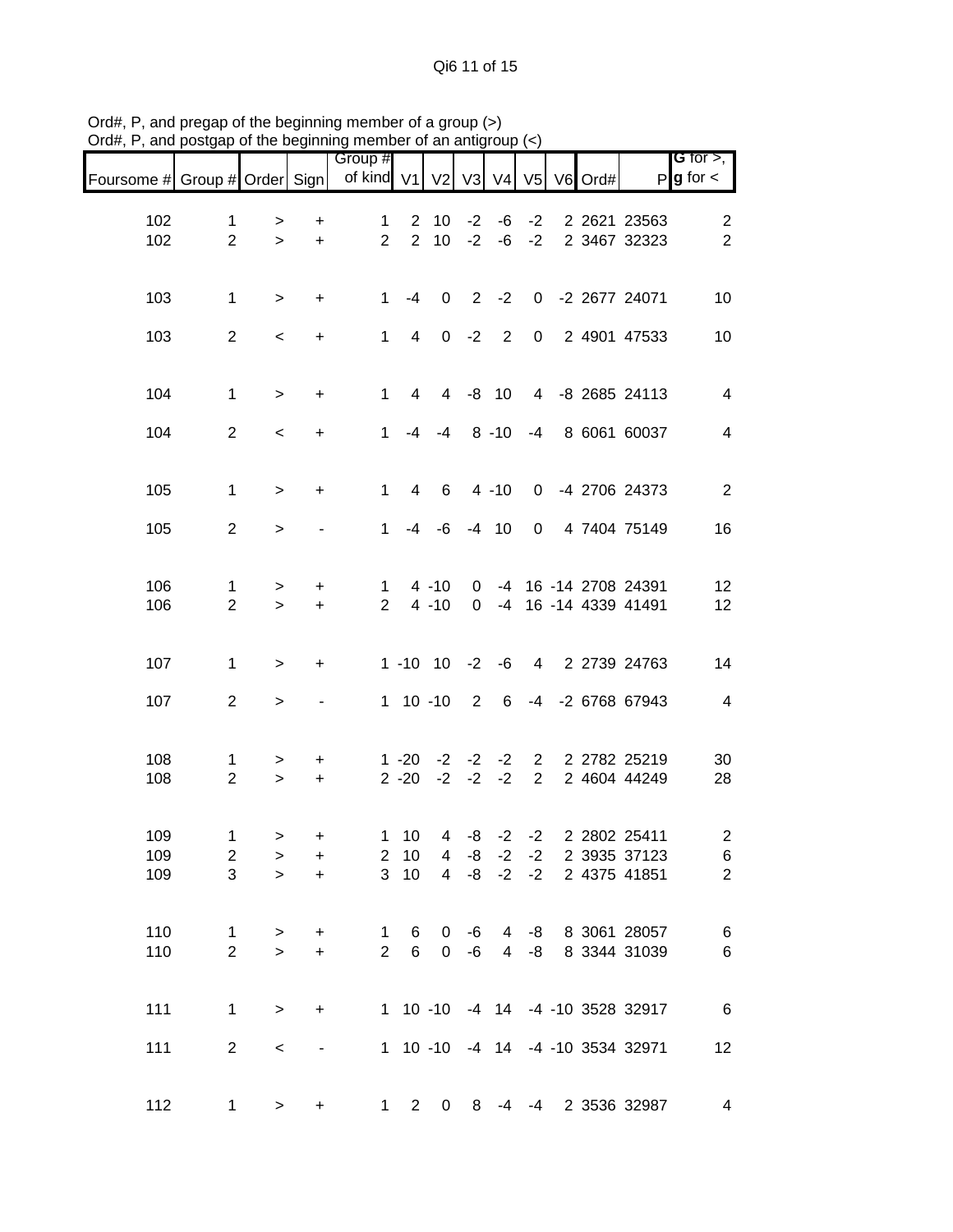| Foursome # Group # Order Sign |                                    |                      |                        | Group #<br>of kind V1          |                                    | V <sub>2</sub>                 | V3                       | V <sub>4</sub> |                                | V5 V6 Ord# |                                                                | G for $>$ ,<br>$P$ <b>g</b> for $\lt$                        |
|-------------------------------|------------------------------------|----------------------|------------------------|--------------------------------|------------------------------------|--------------------------------|--------------------------|----------------|--------------------------------|------------|----------------------------------------------------------------|--------------------------------------------------------------|
| 102<br>102                    | $\mathbf{1}$<br>$\overline{2}$     | $\, > \,$<br>$\geq$  | +<br>$\ddot{}$         | $\mathbf{1}$<br>$\overline{2}$ |                                    | $2 \quad 10$<br>$2 \quad 10$   | $-2$<br>$-2$             | -6<br>-6       | $-2$<br>$-2$                   |            | 2 2621 23563<br>2 3467 32323                                   | $\overline{2}$<br>$\overline{2}$                             |
| 103                           | $\mathbf{1}$                       | $\, > \,$            | $\ddot{}$              | $\mathbf{1}$                   | $-4$                               | 0                              | $\overline{2}$           | $-2$           |                                |            | 0 -2 2677 24071                                                | 10                                                           |
| 103                           | $\overline{2}$                     | $\,<\,$              | $\ddot{}$              | $\mathbf{1}$                   | $\overline{4}$                     |                                | $0 -2$                   | $\overline{2}$ | $\overline{0}$                 |            | 2 4901 47533                                                   | 10                                                           |
| 104                           | $\mathbf{1}$                       | $\geq$               | +                      | $\mathbf{1}$                   | $\overline{4}$                     |                                |                          | 4 -8 10        |                                |            | 4 -8 2685 24113                                                | 4                                                            |
| 104                           | $\overline{2}$                     | $\,<$                | $\ddot{}$              | $\mathbf{1}$                   |                                    | $-4$ $-4$ $8$ $-10$            |                          |                | -4                             |            | 8 6061 60037                                                   | $\overline{\mathbf{4}}$                                      |
| 105                           | $\mathbf{1}$                       | $\geq$               | $\ddot{}$              | $\mathbf{1}$                   | $\overline{4}$                     | 6                              |                          | $4 - 10$       | $\mathbf 0$                    |            | -4 2706 24373                                                  | $\overline{2}$                                               |
| 105                           | $\overline{2}$                     | $\,>$                |                        | $\mathbf 1$                    |                                    | $-4$ $-6$ $-4$ 10              |                          |                | $\mathbf 0$                    |            | 4 7404 75149                                                   | 16                                                           |
| 106<br>106                    | $\mathbf{1}$<br>$\overline{2}$     | $\, > \,$<br>$\geq$  | $\ddot{}$<br>$+$       | $\mathbf{1}$<br>$\overline{2}$ |                                    | $4 - 10$<br>$4 - 10$           | $\overline{0}$           |                |                                |            | 0 -4 16 -14 2708 24391<br>-4 16 -14 4339 41491                 | 12<br>12                                                     |
| 107                           | $\mathbf{1}$                       | $\geq$               | $\ddot{}$              |                                |                                    | $1 - 10$ $10 - 2$              |                          | $-6$           |                                |            | 4 2 2739 24763                                                 | 14                                                           |
| 107                           | $\overline{2}$                     | $\,>$                |                        |                                |                                    | $1 10 - 10$                    | $\overline{\phantom{a}}$ | 6              |                                |            | -4 -2 6768 67943                                               | $\overline{4}$                                               |
| 108<br>108                    | 1<br>$\overline{2}$                | ><br>$\geq$          | $\ddot{}$<br>$\ddot{}$ |                                | $1 - 20$<br>$2 - 20$               | $-2$<br>$-2$                   | $-2$<br>$-2$             | $-2$<br>$-2$   | $\mathbf{2}$<br>$\overline{2}$ |            | 2 2782 25219<br>2 4604 44249                                   | 30<br>28                                                     |
| 109<br>109<br>109             | $\mathbf 1$<br>$\overline{2}$<br>3 | $\,>$<br>><br>$\geq$ | $\ddot{}$<br>+<br>$+$  | 3                              | $1 \quad 10$<br>$2 \quad 10$<br>10 |                                |                          |                | $4 -8 -2 -2$<br>$4 -8 -2 -2$   |            | 4 -8 -2 -2 2 2 2 2 2 2 2 2 1 1<br>2 3935 37123<br>2 4375 41851 | $\overline{\mathbf{c}}$<br>$6\phantom{.}6$<br>$\overline{2}$ |
| 110<br>110                    | $\mathbf{1}$<br>$\overline{2}$     | $\, > \,$<br>$\geq$  | $\ddot{}$<br>$\ddot{}$ | $\mathbf{1}$<br>$\overline{2}$ | 6<br>$6\overline{6}$               | $\mathbf{0}$<br>$\overline{0}$ | -6<br>-6                 |                |                                |            | 4 -8 8 3061 28057<br>4 -8 8 3344 31039                         | $\,6$<br>$\,6$                                               |
| 111                           | $\mathbf{1}$                       | $\, > \,$            | $\ddot{}$              |                                |                                    |                                |                          |                |                                |            | 1 10 -10 -4 14 -4 -10 3528 32917                               | 6                                                            |
| 111                           | $\overline{2}$                     | $\,<$                | $\blacksquare$         |                                |                                    |                                |                          |                |                                |            | 1 10 -10 -4 14 -4 -10 3534 32971                               | 12                                                           |
| 112                           | $\mathbf{1}$                       | $\geq$               | $\ddot{}$              |                                | $1\quad 2$                         | $\overline{0}$                 | 8                        | -4             |                                |            | -4 2 3536 32987                                                | 4                                                            |

Ord#, P, and pregap of the beginning member of a group (>) Ord#, P, and postgap of the beginning member of an antigroup (<)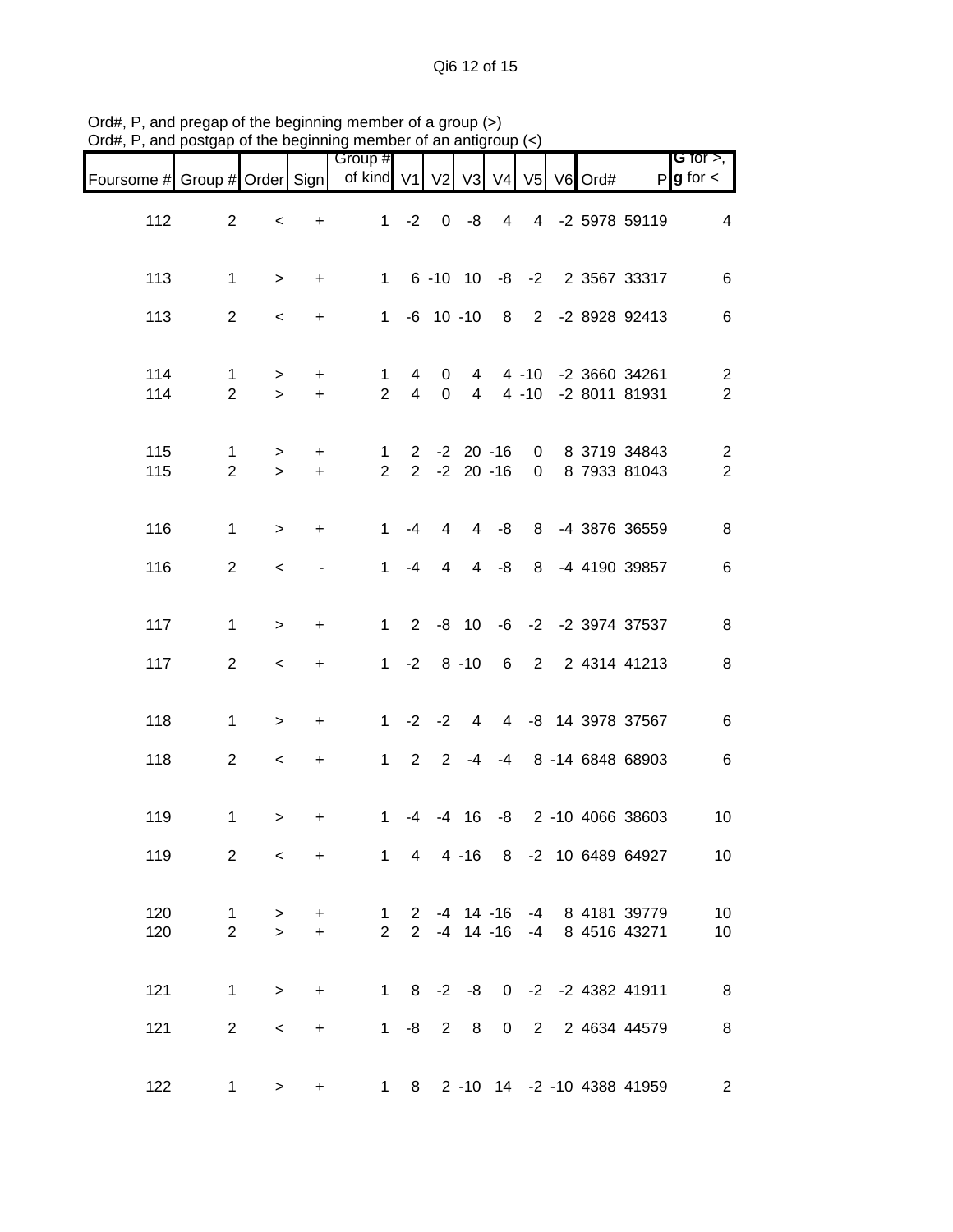Qi6 12 of 15

|                               |                                |                  |                          | Group #                        |                     |                                    |                                  |         |          |                  |                                                            | G for $>$ , $\overline{\phantom{a}}$ |
|-------------------------------|--------------------------------|------------------|--------------------------|--------------------------------|---------------------|------------------------------------|----------------------------------|---------|----------|------------------|------------------------------------------------------------|--------------------------------------|
| Foursome # Group # Order Sign |                                |                  |                          | of kind V1                     |                     | V <sub>2</sub>                     |                                  |         |          | V3 V4 V5 V6 Ord# |                                                            | $P$ <b>g</b> for $\lt$               |
| 112                           | $\overline{2}$                 | $\,<$            | $\ddot{}$                |                                |                     |                                    |                                  |         |          |                  | 1 -2 0 -8 4 4 -2 5978 59119                                | $\overline{4}$                       |
| 113                           | $\mathbf{1}$                   | $\geq$           | $\ddot{}$                |                                |                     |                                    |                                  |         |          |                  | 1 6 -10 10 -8 -2 2 3567 33317                              | $\,6$                                |
| 113                           | $\overline{2}$                 | $\,<$            | $+$                      |                                |                     |                                    |                                  |         |          |                  | 1 -6 10 -10 8 2 -2 8928 92413                              | $\,6$                                |
| 114<br>114                    | $\mathbf{1}$<br>$\overline{2}$ | $\geq$<br>$\geq$ | $+$<br>$+$               | $\mathbf 1$<br>$\overline{2}$  | 4<br>$\overline{4}$ | $\mathbf{0}$<br>$\overline{0}$     | $\overline{4}$<br>$\overline{4}$ |         | $4 - 10$ |                  | 4 -10 -2 3660 34261<br>-2 8011 81931                       | $\overline{2}$<br>$\overline{2}$     |
| 115<br>115                    | $\mathbf{1}$<br>$\overline{2}$ | $\geq$<br>$\geq$ | $+$<br>$+$               | $\mathbf{1}$<br>$\overline{2}$ |                     | $2 - 2 20 - 16$<br>$2 - 2 20 - 16$ |                                  |         |          |                  | 0 8 3719 34843<br>0 8 7933 81043                           | $\overline{a}$<br>$\overline{2}$     |
| 116                           | $\mathbf{1}$                   | $\geq$           | $+$                      | $1 \quad$                      | $-4$                | $4\overline{ }$                    |                                  | $4 - 8$ |          |                  | 8 -4 3876 36559                                            | 8                                    |
| 116                           | $\overline{2}$                 | $\prec$          | $\overline{\phantom{a}}$ | $1 \quad$                      | $-4$                | $\overline{4}$                     |                                  | $4 - 8$ | 8        |                  | -4 4190 39857                                              | 6                                    |
| 117                           | $\mathbf{1}$                   | $\geq$           | $\ddot{}$                |                                |                     | $1 \t2 \t-8 \t10$                  |                                  |         |          |                  | -6 -2 -2 3974 37537                                        | $\bf 8$                              |
| 117                           | $\overline{a}$                 | $\,<\,$          | $+$                      |                                |                     | $1 -2 8 -10$                       |                                  |         |          |                  | 6 2 2 4314 41213                                           | $\,8\,$                              |
| 118                           | $\mathbf 1$                    | $\geq$           | $\ddot{}$                |                                |                     |                                    |                                  |         |          |                  | 1 -2 -2 4 4 -8 14 3978 37567                               | $\,6$                                |
| 118                           | $\overline{2}$                 | $\,<\,$          | $+$                      |                                |                     | $1 \t2 \t2 \t-4$                   |                                  |         |          |                  | -4 8 -14 6848 68903                                        | $\,6$                                |
| 119                           | 1                              | $\, > \,$        | +                        | $\mathbf{1}$                   | -4                  | $-4$                               | 16                               |         |          |                  | -8 2 -10 4066 38603                                        | 10                                   |
| 119                           | 2                              | $\,<\,$          | $+$                      |                                |                     |                                    |                                  |         |          |                  | 1 4 4 -16 8 -2 10 6489 64927                               | 10 <sup>°</sup>                      |
| 120<br>120                    | $\mathbf 1$<br>$\overline{2}$  | $\geq$<br>$\geq$ | $+$<br>$+$               | $\overline{2}$                 | $\overline{2}$      |                                    |                                  |         |          |                  | 1 2 -4 14 -16 -4 8 4181 39779<br>-4 14 -16 -4 8 4516 43271 | 10<br>10                             |
| 121                           | $\mathbf{1}$                   | $\geq$           | $\ddot{}$                |                                |                     | $1 \t 8 \t -2 \t -8$               |                                  |         |          |                  | 0 -2 -2 4382 41911                                         | $\overline{\phantom{0}}$ 8           |
| 121                           | $\overline{2}$                 | $\,<\,$          | $+$                      |                                |                     | $1 - 8$ 2 8                        |                                  |         |          |                  | 0 2 2 4634 44579                                           | $\bf 8$                              |
| 122                           | $\mathbf{1}$                   | $\geq$           | $\ddot{}$                |                                |                     |                                    |                                  |         |          |                  | 1 8 2 -10 14 -2 -10 4388 41959                             | $\overline{c}$                       |

Ord#, P, and pregap of the beginning member of a group (>) Ord#, P, and postgap of the beginning member of an antigroup (<)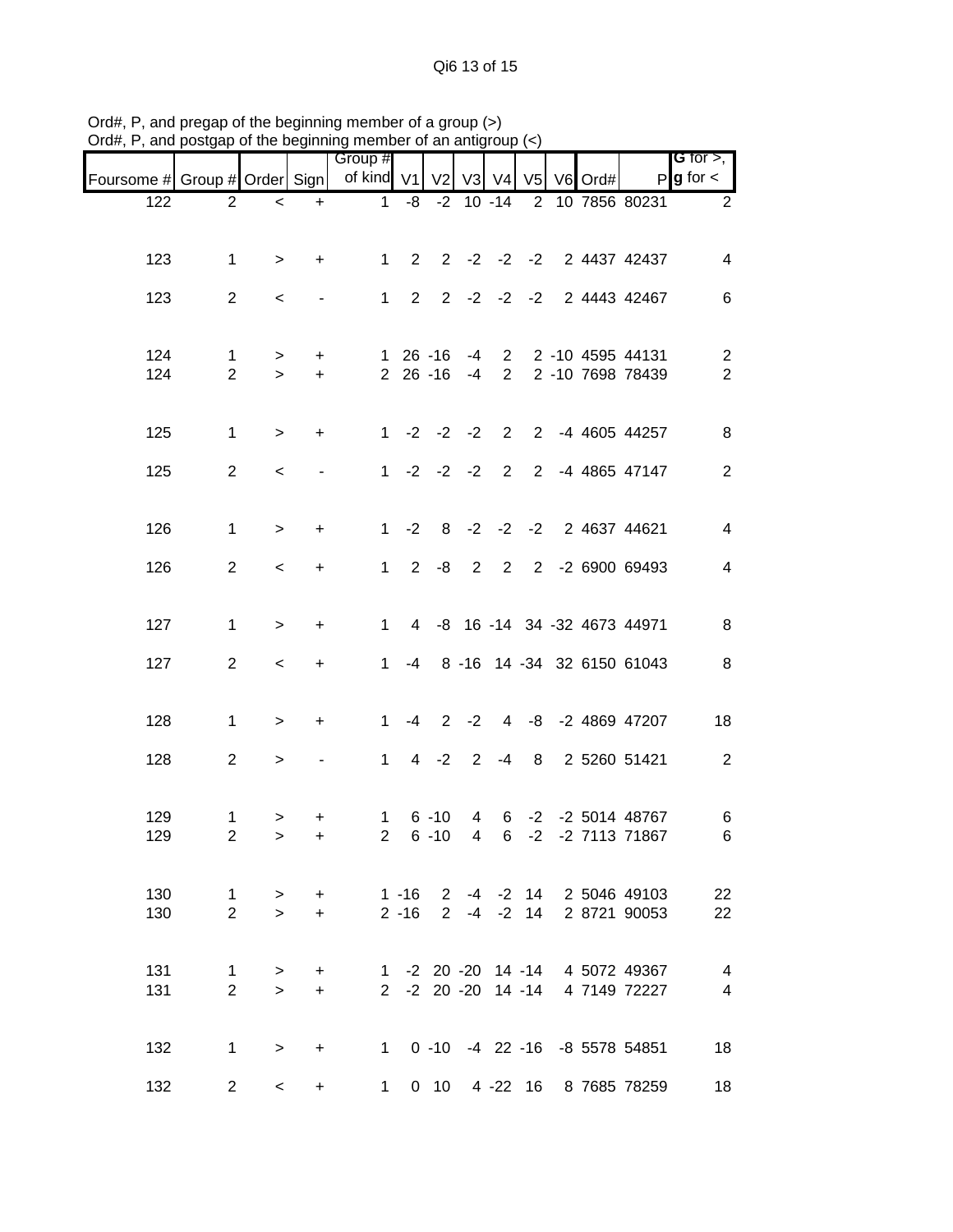|                               |                |                  |           | Group #        |             |                         |                |                 |      |                  |                                 | G for $>$ ,                      |
|-------------------------------|----------------|------------------|-----------|----------------|-------------|-------------------------|----------------|-----------------|------|------------------|---------------------------------|----------------------------------|
| Foursome # Group # Order Sign |                |                  |           | of kind V1     |             | V <sub>2</sub>          |                |                 |      | V3 V4 V5 V6 Ord# |                                 | $P$ <b>g</b> for $\lt$           |
| 122                           | 2              | $\,<\,$          | $+$       |                |             |                         |                |                 |      |                  |                                 | 1 -8 -2 10 -14 2 10 7856 80231 2 |
|                               |                |                  |           |                |             |                         |                |                 |      |                  |                                 |                                  |
| 123                           | $\mathbf{1}$   | $\geq$           | $\ddot{}$ |                |             |                         |                |                 |      |                  | 1 2 2 -2 -2 -2 2 4437 42437     | $\overline{4}$                   |
| 123                           | $\overline{2}$ | $\,<\,$          |           |                |             |                         |                |                 |      |                  | 1 2 2 -2 -2 -2 2 4443 42467     | $\,6\,$                          |
|                               |                |                  |           |                |             |                         |                |                 |      |                  |                                 |                                  |
| 124                           | 1              |                  | $+$       |                |             | 1 26 -16                |                |                 |      |                  | -4 2 2 -10 4595 44131           | $\overline{2}$                   |
| 124                           | $\overline{2}$ | $\geq$<br>$\geq$ | $+$       |                |             |                         |                |                 |      |                  | 2 26 -16 -4 2 2 -10 7698 78439  | $\overline{2}$                   |
|                               |                |                  |           |                |             |                         |                |                 |      |                  |                                 |                                  |
| 125                           | $\mathbf{1}$   | $\geq$           | $+$       |                |             |                         |                |                 |      |                  | 1 -2 -2 -2 2 2 -4 4605 44257    | 8                                |
|                               |                |                  |           |                |             |                         |                |                 |      |                  |                                 |                                  |
| 125                           | $\overline{2}$ | $\,<$            |           |                |             |                         |                |                 |      |                  | 1 -2 -2 -2 2 2 -4 4865 47147    | $\overline{2}$                   |
|                               |                |                  |           |                |             |                         |                |                 |      |                  |                                 |                                  |
| 126                           | $\mathbf{1}$   | $\geq$           | $+$       |                |             |                         |                |                 |      |                  | 1 -2 8 -2 -2 -2 2 4637 44621    | $\overline{4}$                   |
| 126                           | $\overline{2}$ | $\,<\,$          | $+$       |                | $1 \quad 2$ |                         |                |                 |      |                  | -8 2 2 2 -2 6900 69493          | $\overline{4}$                   |
|                               |                |                  |           |                |             |                         |                |                 |      |                  |                                 |                                  |
| 127                           | $\mathbf{1}$   | $\geq$           | $\ddot{}$ | $1 \quad$      |             |                         |                |                 |      |                  | 4 -8 16 -14 34 -32 4673 44971   | 8                                |
|                               |                |                  |           |                |             |                         |                |                 |      |                  |                                 |                                  |
| 127                           | $\overline{2}$ | $\,<\,$          | $+$       | $1 \quad$      |             |                         |                |                 |      |                  | -4 8 -16 14 -34 32 6150 61043   | $\boldsymbol{8}$                 |
|                               |                |                  |           |                |             |                         |                |                 |      |                  |                                 |                                  |
| 128                           | $\mathbf{1}$   | $\geq$           | $+$       | $1 \quad$      |             |                         |                |                 |      |                  | -4 2 -2 4 -8 -2 4869 47207      | 18                               |
| 128                           | $\overline{2}$ | $\,>$            |           | $\mathbf{1}$   |             | $4 -2 2$                |                | $-4$            |      |                  | 8 2 5260 51421                  | $\sqrt{2}$                       |
|                               |                |                  |           |                |             |                         |                |                 |      |                  |                                 |                                  |
| 129                           | $\mathbf{1}$   | >                | $\ddot{}$ | 1              |             | $6 - 10$                | 4              |                 |      |                  | 6 -2 -2 5014 48767              | 6                                |
| 129                           | $\overline{2}$ | $\,>$            | $+$       | 2 <sup>1</sup> |             | $6 - 10$                | $\overline{4}$ | $6\overline{6}$ | $-2$ |                  | -2 7113 71867                   | 6                                |
|                               |                |                  |           |                |             |                         |                |                 |      |                  |                                 |                                  |
| 130                           | $\overline{1}$ | $\geq$           | $+$       |                |             |                         |                |                 |      |                  | 1 -16 2 -4 -2 14 2 5046 49103   | 22                               |
| 130                           | $\overline{2}$ | $\geq$           | $+$       |                |             | $2 - 16$ 2 $-4$ $-2$ 14 |                |                 |      |                  | 2 8721 90053                    | 22                               |
|                               |                |                  |           |                |             |                         |                |                 |      |                  |                                 |                                  |
| 131                           | $\mathbf{1}$   | $\,>$            | $+$       |                |             |                         |                |                 |      |                  | 1 -2 20 -20 14 -14 4 5072 49367 | 4                                |
| 131                           | $\overline{2}$ | $\geq$           | $+$       |                |             |                         |                |                 |      |                  | 2 -2 20 -20 14 -14 4 7149 72227 | $\overline{4}$                   |
|                               |                |                  |           |                |             |                         |                |                 |      |                  |                                 |                                  |
| 132                           | $\mathbf{1}$   | $\geq$           | $+$       |                |             |                         |                |                 |      |                  | 1 0 -10 -4 22 -16 -8 5578 54851 | 18                               |
| 132                           | $2^{\circ}$    | $\prec$          | $+$       | $1 \quad$      |             |                         |                |                 |      |                  | 0 10 4 -22 16 8 7685 78259      | 18                               |

Ord#, P, and pregap of the beginning member of a group (>) Ord#, P, and postgap of the beginning member of an antigroup (<)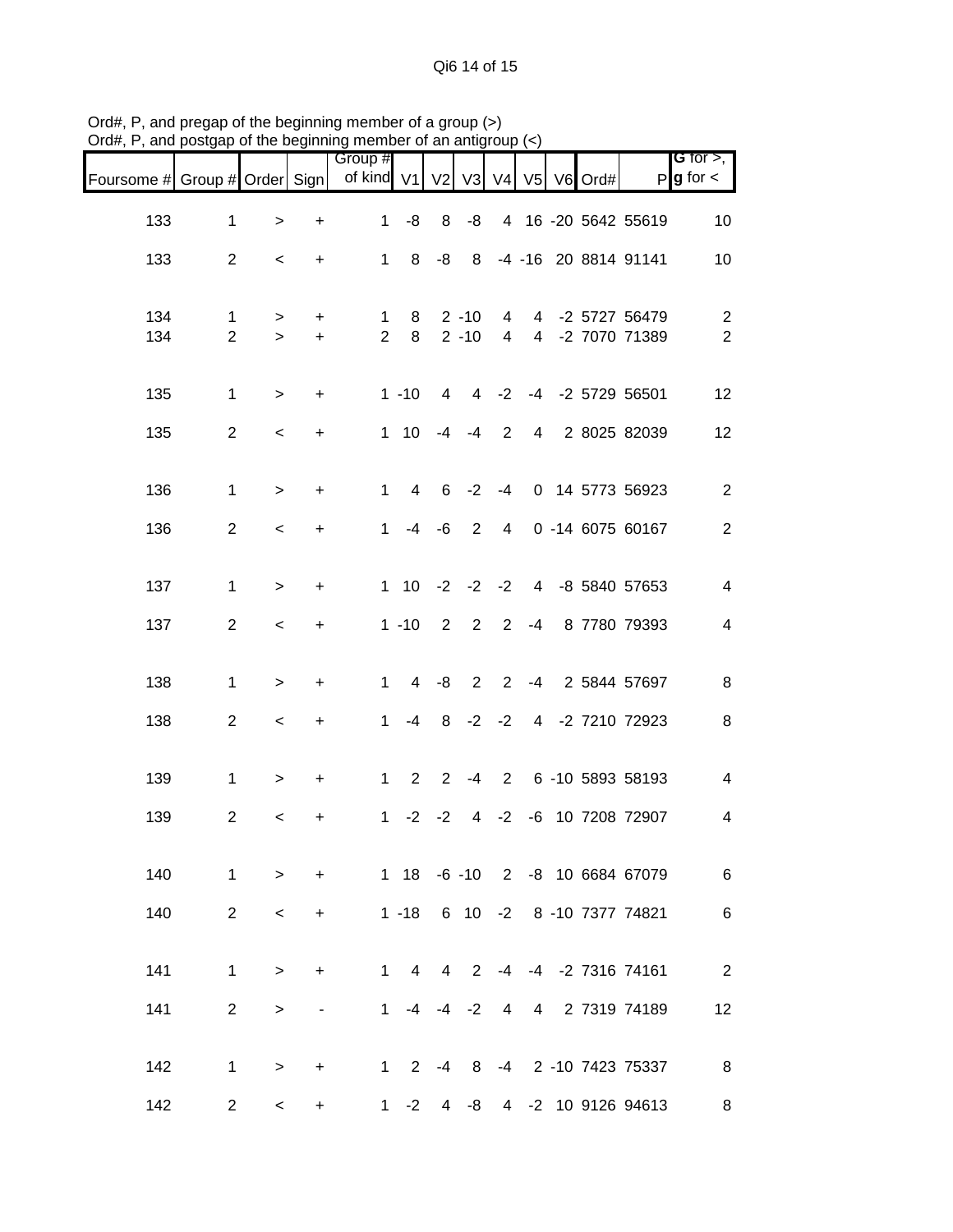Qi6 14 of 15

| riam, i , and poolgap         |                     |                          |            | of the beginning includer of an antigroup $(\gamma)$ |                    |                |                      |                                  |  |                                    |                                  |
|-------------------------------|---------------------|--------------------------|------------|------------------------------------------------------|--------------------|----------------|----------------------|----------------------------------|--|------------------------------------|----------------------------------|
| Foursome # Group # Order Sign |                     |                          |            | Group #<br>of kind V1 V2 V3 V4 V5 V6 Ord#            |                    |                |                      |                                  |  |                                    | G for $>$ ,<br>$P g$ for $\lt$   |
| 133                           | $\mathbf{1}$        | $\,$                     | $\ddot{}$  | 1                                                    | -8                 |                | $8 - 8$              |                                  |  | 4 16 -20 5642 55619                | 10                               |
| 133                           | $\overline{2}$      | $\,<\,$                  | $+$        |                                                      |                    |                |                      |                                  |  | 1 8 -8 8 -4 -16 20 8814 91141      | 10                               |
| 134<br>134                    | 1<br>$\overline{2}$ | $\,>$<br>$\geq$          | $+$<br>$+$ | 1<br>$\overline{2}$                                  | 8<br>8             |                | $2 - 10$<br>$2 - 10$ | $\overline{4}$<br>$\overline{4}$ |  | 4 -2 5727 56479<br>4 -2 7070 71389 | $\overline{c}$<br>$\overline{2}$ |
| 135                           | $\mathbf{1}$        | $\geq$                   | $\ddot{}$  |                                                      | $1 - 10$           | $\overline{4}$ |                      |                                  |  | 4 -2 -4 -2 5729 56501              | 12                               |
| 135                           | $\overline{2}$      | $\,<\,$                  | $\ddot{}$  |                                                      | $1 \t10 \t-4 \t-4$ |                |                      |                                  |  | 2 4 2 8025 82039                   | 12                               |
| 136                           | $\mathbf{1}$        | $\, >$                   | $\ddot{}$  | $\mathbf{1}$                                         | $\overline{4}$     |                |                      |                                  |  | 6 -2 -4 0 14 5773 56923            | $\overline{2}$                   |
| 136                           | $\overline{2}$      | $\,<$                    | $\ddot{}$  | $\mathbf 1$                                          |                    |                | $-4$ $-6$ 2          | $4\overline{ }$                  |  | 0 -14 6075 60167                   | $\overline{2}$                   |
| 137                           | 1                   | $\,>$                    | $\ddot{}$  |                                                      |                    |                |                      |                                  |  | 1 10 -2 -2 -2 4 -8 5840 57653      | $\overline{\mathbf{4}}$          |
| 137                           | $\overline{2}$      | $\,<$                    | $\ddot{}$  |                                                      | $1 - 10$           |                | $2 \quad 2$          |                                  |  | 2 -4 8 7780 79393                  | $\overline{\mathbf{4}}$          |
|                               |                     |                          |            |                                                      |                    |                |                      |                                  |  |                                    |                                  |
| 138                           | $\mathbf{1}$        | $\geq$                   | $\ddot{}$  | $\mathbf{1}$                                         |                    |                | $4 -8 2$             |                                  |  | 2 -4 2 5844 57697                  | $\,8\,$                          |
| 138                           | $\overline{2}$      | $\,<$                    | $\ddot{}$  | 1                                                    |                    |                |                      |                                  |  | -4 8 -2 -2 4 -2 7210 72923         | 8                                |
| 139                           | $\mathbf{1}$        | $\,>$                    | $\ddot{}$  | $\mathbf{1}$                                         |                    |                |                      |                                  |  | 2 2 -4 2 6 -10 5893 58193          | $\overline{\mathbf{4}}$          |
| 139                           | $\overline{2}$      | $\,<$                    | +          | $\mathbf 1$                                          |                    |                |                      |                                  |  | -2 -2 4 -2 -6 10 7208 72907        | 4                                |
| 140                           | $\mathbf{1}$        | $\geq$                   | $+$        |                                                      |                    |                |                      |                                  |  | 1 18 -6 -10 2 -8 10 6684 67079     | 6                                |
| 140                           | $\overline{2}$      | $\,<\,$                  | $+$        |                                                      |                    |                |                      |                                  |  | 1 -18 6 10 -2 8 -10 7377 74821     | 6                                |
| 141                           | $\mathbf 1$         | $\geq$                   | $\ddot{}$  | $\mathbf 1$                                          |                    |                |                      |                                  |  | 4 4 2 -4 -4 -2 7316 74161          | $\overline{\phantom{a}}$         |
| 141                           | $\overline{2}$      | $\,>$                    |            |                                                      | $1 -4 -4 -2$       |                |                      | $\overline{4}$                   |  | 4 2 7319 74189                     | 12                               |
| 142                           | $\mathbf{1}$        | $\geq$                   | $\ddot{}$  |                                                      |                    |                |                      |                                  |  | 1 2 -4 8 -4 2 -10 7423 75337       | 8                                |
| 142                           | $\overline{2}$      | $\overline{\phantom{0}}$ | $\ddot{}$  |                                                      | $1 - 2$ 4 $-8$     |                |                      |                                  |  | 4 -2 10 9126 94613                 | 8                                |

Ord#, P, and pregap of the beginning member of a group (>) Ord#, P, and postgap of the beginning member of an antigroup (<)